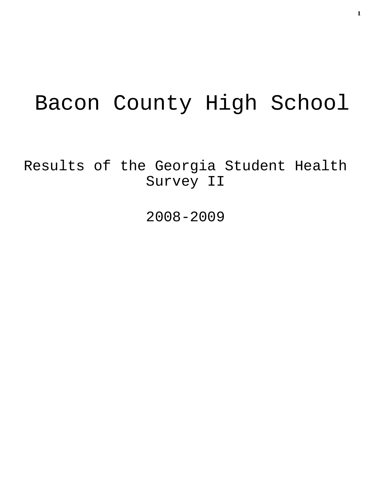# Bacon County High School

Results of the Georgia Student Health Survey II

2008-2009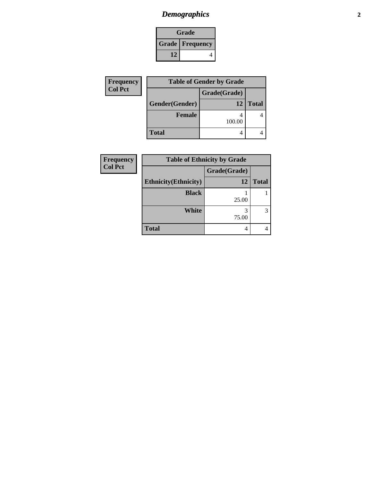# *Demographics* **2**

| Grade                    |  |  |
|--------------------------|--|--|
| <b>Grade   Frequency</b> |  |  |
| 12                       |  |  |

| <b>Frequency</b> |                | <b>Table of Gender by Grade</b> |              |
|------------------|----------------|---------------------------------|--------------|
| <b>Col Pct</b>   |                | Grade(Grade)                    |              |
|                  | Gender(Gender) | 12                              | <b>Total</b> |
|                  | <b>Female</b>  | 100.00                          |              |
|                  | <b>Total</b>   |                                 |              |

| <b>Frequency</b> | <b>Table of Ethnicity by Grade</b> |              |              |
|------------------|------------------------------------|--------------|--------------|
| <b>Col Pct</b>   |                                    | Grade(Grade) |              |
|                  | <b>Ethnicity</b> (Ethnicity)       | 12           | <b>Total</b> |
|                  | <b>Black</b>                       | 25.00        |              |
|                  | <b>White</b>                       | 3<br>75.00   | 3            |
|                  | <b>Total</b>                       | 4            |              |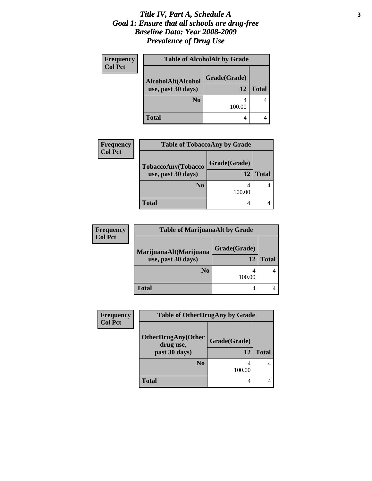#### *Title IV, Part A, Schedule A* **3** *Goal 1: Ensure that all schools are drug-free Baseline Data: Year 2008-2009 Prevalence of Drug Use*

| <b>Frequency</b> | <b>Table of AlcoholAlt by Grade</b> |              |              |
|------------------|-------------------------------------|--------------|--------------|
| <b>Col Pct</b>   | AlcoholAlt(Alcohol                  | Grade(Grade) |              |
|                  | use, past 30 days)                  | 12           | <b>Total</b> |
|                  | N <sub>0</sub>                      | 100.00       |              |
|                  | <b>Total</b>                        | 4            |              |

| <b>Frequency</b> | <b>Table of TobaccoAny by Grade</b> |              |              |
|------------------|-------------------------------------|--------------|--------------|
| <b>Col Pct</b>   | TobaccoAny(Tobacco                  | Grade(Grade) |              |
|                  | use, past 30 days)                  | 12           | <b>Total</b> |
|                  | N <sub>0</sub>                      | 100.00       |              |
|                  | <b>Total</b>                        |              |              |

| <b>Frequency</b> | <b>Table of MarijuanaAlt by Grade</b> |              |              |
|------------------|---------------------------------------|--------------|--------------|
| <b>Col Pct</b>   | MarijuanaAlt(Marijuana                | Grade(Grade) |              |
|                  | use, past 30 days)                    |              | <b>Total</b> |
|                  | No                                    | 100.00       |              |
|                  | <b>Total</b>                          |              |              |

| Frequency      | <b>Table of OtherDrugAny by Grade</b>  |              |              |
|----------------|----------------------------------------|--------------|--------------|
| <b>Col Pct</b> | <b>OtherDrugAny(Other</b><br>drug use, | Grade(Grade) |              |
|                | past 30 days)                          | 12           | <b>Total</b> |
|                | N <sub>0</sub>                         | 100.00       |              |
|                | Total                                  | 4            |              |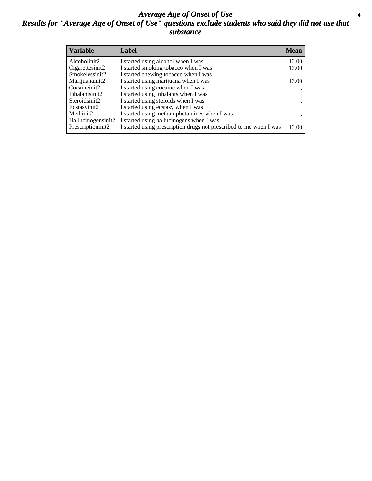#### *Average Age of Onset of Use* **4** *Results for "Average Age of Onset of Use" questions exclude students who said they did not use that substance*

| <b>Variable</b>    | Label                                                              | <b>Mean</b> |
|--------------------|--------------------------------------------------------------------|-------------|
| Alcoholinit2       | I started using alcohol when I was                                 | 16.00       |
| Cigarettesinit2    | I started smoking tobacco when I was                               | 16.00       |
| Smokelessinit2     | I started chewing tobacco when I was                               |             |
| Marijuanainit2     | I started using marijuana when I was                               | 16.00       |
| Cocaineinit2       | I started using cocaine when I was                                 |             |
| Inhalantsinit2     | I started using inhalants when I was                               |             |
| Steroidsinit2      | I started using steroids when I was                                |             |
| Ecstasyinit2       | I started using ecstasy when I was                                 |             |
| Methinit2          | I started using methamphetamines when I was                        |             |
| Hallucinogensinit2 | I started using hallucinogens when I was                           |             |
| Prescriptioninit2  | I started using prescription drugs not prescribed to me when I was | 16.00       |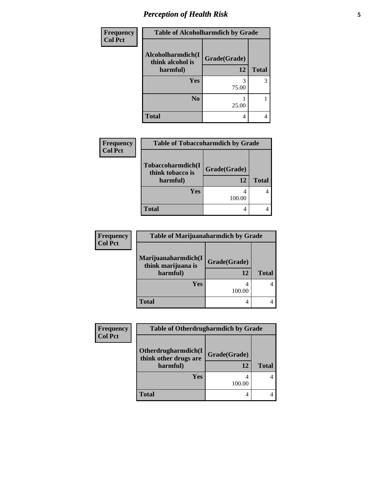# *Perception of Health Risk* **5**

| <b>Frequency</b> | <b>Table of Alcoholharmdich by Grade</b> |              |              |
|------------------|------------------------------------------|--------------|--------------|
| <b>Col Pct</b>   | Alcoholharmdich(I<br>think alcohol is    | Grade(Grade) |              |
|                  | harmful)                                 | 12           | <b>Total</b> |
|                  | <b>Yes</b>                               | 3            | 3            |
|                  |                                          | 75.00        |              |
|                  | N <sub>0</sub>                           |              |              |
|                  |                                          | 25.00        |              |
|                  | <b>Total</b>                             | 4            |              |

| <b>Frequency</b> | <b>Table of Tobaccoharmdich by Grade</b>          |                    |              |
|------------------|---------------------------------------------------|--------------------|--------------|
| <b>Col Pct</b>   | Tobaccoharmdich(I<br>think tobacco is<br>harmful) | Grade(Grade)<br>12 | <b>Total</b> |
|                  | <b>Yes</b>                                        | 100.00             |              |
|                  | Total                                             | 4                  |              |

| <b>Frequency</b> | <b>Table of Marijuanaharmdich by Grade</b>            |                    |              |
|------------------|-------------------------------------------------------|--------------------|--------------|
| <b>Col Pct</b>   | Marijuanaharmdich(I<br>think marijuana is<br>harmful) | Grade(Grade)<br>12 | <b>Total</b> |
|                  | <b>Yes</b>                                            | 100.00             |              |
|                  | <b>Total</b>                                          |                    |              |

| <b>Frequency</b><br><b>Col Pct</b> | <b>Table of Otherdrugharmdich by Grade</b>               |                    |              |
|------------------------------------|----------------------------------------------------------|--------------------|--------------|
|                                    | Otherdrugharmdich(I<br>think other drugs are<br>harmful) | Grade(Grade)<br>12 | <b>Total</b> |
|                                    | <b>Yes</b>                                               | 100.00             |              |
|                                    | <b>Total</b>                                             | 4                  |              |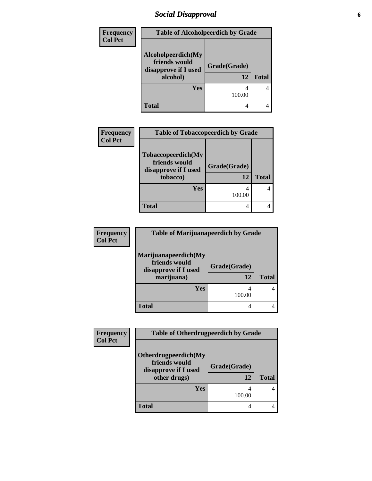# *Social Disapproval* **6**

| <b>Frequency</b> | <b>Table of Alcoholpeerdich by Grade</b>                                |                    |              |  |
|------------------|-------------------------------------------------------------------------|--------------------|--------------|--|
| <b>Col Pct</b>   | Alcoholpeerdich(My<br>friends would<br>disapprove if I used<br>alcohol) | Grade(Grade)<br>12 | <b>Total</b> |  |
|                  | Yes                                                                     | 100.00             |              |  |
|                  | <b>Total</b>                                                            | 4                  |              |  |

| Frequency<br><b>Col Pct</b> | <b>Table of Tobaccopeerdich by Grade</b>                                |                    |              |
|-----------------------------|-------------------------------------------------------------------------|--------------------|--------------|
|                             | Tobaccopeerdich(My<br>friends would<br>disapprove if I used<br>tobacco) | Grade(Grade)<br>12 | <b>Total</b> |
|                             | Yes                                                                     | 4<br>100.00        |              |
|                             | <b>Total</b>                                                            | 4                  |              |

| <b>Frequency</b> | <b>Table of Marijuanapeerdich by Grade</b>                                  |                    |              |
|------------------|-----------------------------------------------------------------------------|--------------------|--------------|
| <b>Col Pct</b>   | Marijuanapeerdich(My<br>friends would<br>disapprove if I used<br>marijuana) | Grade(Grade)<br>12 | <b>Total</b> |
|                  | Yes                                                                         | 100.00             | 4            |
|                  | <b>Total</b>                                                                | 4                  |              |

| <b>Frequency</b> | <b>Table of Otherdrugpeerdich by Grade</b>                                    |                    |              |
|------------------|-------------------------------------------------------------------------------|--------------------|--------------|
| <b>Col Pct</b>   | Otherdrugpeerdich(My<br>friends would<br>disapprove if I used<br>other drugs) | Grade(Grade)<br>12 | <b>Total</b> |
|                  | <b>Yes</b>                                                                    | 100.00             |              |
|                  | <b>Total</b>                                                                  |                    |              |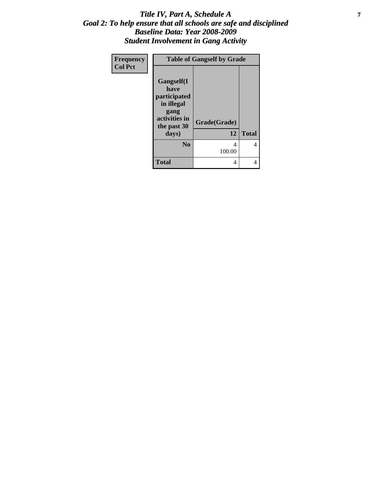#### *Title IV, Part A, Schedule A* **7** *Goal 2: To help ensure that all schools are safe and disciplined Baseline Data: Year 2008-2009 Student Involvement in Gang Activity*

| Frequency      | <b>Table of Gangself by Grade</b>                                                               |              |              |
|----------------|-------------------------------------------------------------------------------------------------|--------------|--------------|
| <b>Col Pct</b> | <b>Gangself(I</b><br>have<br>participated<br>in illegal<br>gang<br>activities in<br>the past 30 | Grade(Grade) |              |
|                | days)                                                                                           | 12           | <b>Total</b> |
|                | N <sub>0</sub>                                                                                  | 4<br>100.00  | 4            |
|                | <b>Total</b>                                                                                    | 4            |              |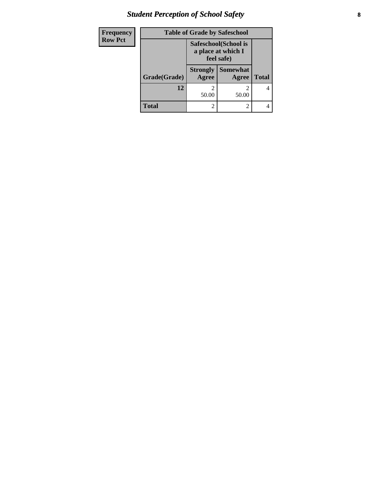# *Student Perception of School Safety* **8**

| Frequency      | <b>Table of Grade by Safeschool</b> |                                                           |                          |              |
|----------------|-------------------------------------|-----------------------------------------------------------|--------------------------|--------------|
| <b>Row Pct</b> |                                     | Safeschool (School is<br>a place at which I<br>feel safe) |                          |              |
|                | Grade(Grade)                        | <b>Strongly</b><br>Agree                                  | <b>Somewhat</b><br>Agree | <b>Total</b> |
|                | 12                                  | 50.00                                                     | 50.00                    | 4            |
|                | Total                               | 2                                                         | $\mathfrak{D}$           |              |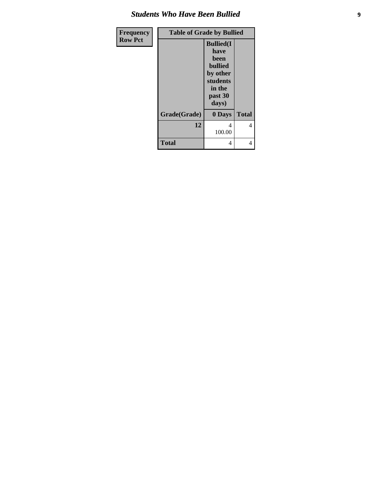#### *Students Who Have Been Bullied*

| <b>Frequency</b> | <b>Table of Grade by Bullied</b> |                                                                                                           |              |
|------------------|----------------------------------|-----------------------------------------------------------------------------------------------------------|--------------|
| <b>Row Pct</b>   |                                  | <b>Bullied(I)</b><br>have<br>been<br><b>bullied</b><br>by other<br>students<br>in the<br>past 30<br>days) |              |
|                  | Grade(Grade)                     | 0 Days                                                                                                    | <b>Total</b> |
|                  | 12                               | 4<br>100.00                                                                                               | 4            |
|                  | <b>Total</b>                     | 4                                                                                                         | 4            |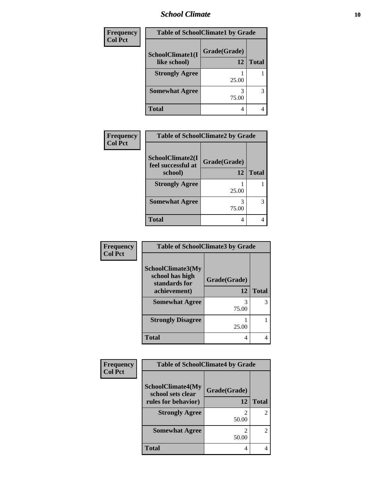#### *School Climate* **10**

| Frequency      | <b>Table of SchoolClimate1 by Grade</b> |                    |              |
|----------------|-----------------------------------------|--------------------|--------------|
| <b>Col Pct</b> | SchoolClimate1(I<br>like school)        | Grade(Grade)<br>12 | <b>Total</b> |
|                |                                         |                    |              |
|                | <b>Strongly Agree</b>                   | 25.00              |              |
|                | <b>Somewhat Agree</b>                   | 75.00              | 3            |
|                | <b>Total</b>                            | 4                  | 4            |

| Frequency      | <b>Table of SchoolClimate2 by Grade</b> |              |              |
|----------------|-----------------------------------------|--------------|--------------|
| <b>Col Pct</b> | SchoolClimate2(I<br>feel successful at  | Grade(Grade) |              |
|                | school)                                 | 12           | <b>Total</b> |
|                | <b>Strongly Agree</b>                   | 25.00        |              |
|                | <b>Somewhat Agree</b>                   | 3<br>75.00   | 3            |
|                | <b>Total</b>                            | 4            | 4            |

| Frequency      | <b>Table of SchoolClimate3 by Grade</b>                               |                    |              |
|----------------|-----------------------------------------------------------------------|--------------------|--------------|
| <b>Col Pct</b> | SchoolClimate3(My<br>school has high<br>standards for<br>achievement) | Grade(Grade)<br>12 | <b>Total</b> |
|                | <b>Somewhat Agree</b>                                                 | 3<br>75.00         | 3            |
|                | <b>Strongly Disagree</b>                                              | 25.00              |              |
|                | Total                                                                 | 4                  |              |

| Frequency      | <b>Table of SchoolClimate4 by Grade</b>       |              |                |
|----------------|-----------------------------------------------|--------------|----------------|
| <b>Col Pct</b> | <b>SchoolClimate4(My</b><br>school sets clear | Grade(Grade) |                |
|                | rules for behavior)                           | 12           | <b>Total</b>   |
|                | <b>Strongly Agree</b>                         | 50.00        | $\mathfrak{D}$ |
|                | <b>Somewhat Agree</b>                         | 50.00        | 2              |
|                | <b>Total</b>                                  | 4            |                |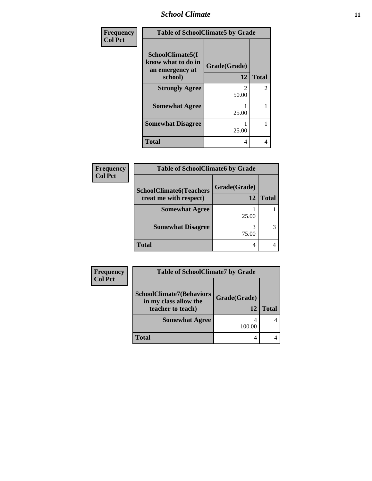*School Climate* **11**

| <b>Frequency</b> | <b>Table of SchoolClimate5 by Grade</b>                   |              |                |
|------------------|-----------------------------------------------------------|--------------|----------------|
| <b>Col Pct</b>   | SchoolClimate5(I<br>know what to do in<br>an emergency at | Grade(Grade) |                |
|                  | school)                                                   | 12           | <b>Total</b>   |
|                  | <b>Strongly Agree</b>                                     | 50.00        | $\overline{2}$ |
|                  | <b>Somewhat Agree</b>                                     | 25.00        |                |
|                  | <b>Somewhat Disagree</b>                                  | 25.00        |                |
|                  | <b>Total</b>                                              | 4            | 4              |

| Frequency      | <b>Table of SchoolClimate6 by Grade</b>                  |                    |              |
|----------------|----------------------------------------------------------|--------------------|--------------|
| <b>Col Pct</b> | <b>SchoolClimate6(Teachers</b><br>treat me with respect) | Grade(Grade)<br>12 | <b>Total</b> |
|                | <b>Somewhat Agree</b>                                    | 25.00              |              |
|                | <b>Somewhat Disagree</b>                                 | 75.00              |              |
|                | Total                                                    | 4                  |              |

| <b>Frequency</b> | <b>Table of SchoolClimate7 by Grade</b>                  |              |              |
|------------------|----------------------------------------------------------|--------------|--------------|
| <b>Col Pct</b>   |                                                          |              |              |
|                  | <b>SchoolClimate7(Behaviors</b><br>in my class allow the | Grade(Grade) |              |
|                  | teacher to teach)                                        | 12           | <b>Total</b> |
|                  | <b>Somewhat Agree</b>                                    | 100.00       |              |
|                  |                                                          |              |              |
|                  | <b>Total</b>                                             |              |              |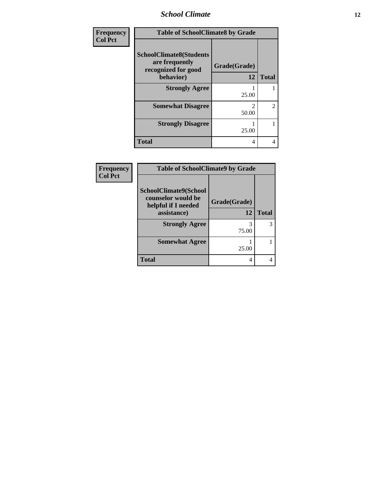#### *School Climate* **12**

| <b>Frequency</b> | <b>Table of SchoolClimate8 by Grade</b>                                              |                    |                |
|------------------|--------------------------------------------------------------------------------------|--------------------|----------------|
| <b>Col Pct</b>   | <b>SchoolClimate8(Students</b><br>are frequently<br>recognized for good<br>behavior) | Grade(Grade)<br>12 | <b>Total</b>   |
|                  | <b>Strongly Agree</b>                                                                | 25.00              |                |
|                  | <b>Somewhat Disagree</b>                                                             | 2<br>50.00         | $\overline{c}$ |
|                  | <b>Strongly Disagree</b>                                                             | 25.00              |                |
|                  | <b>Total</b>                                                                         | 4                  | 4              |

| Frequency      | <b>Table of SchoolClimate9 by Grade</b>            |              |              |
|----------------|----------------------------------------------------|--------------|--------------|
| <b>Col Pct</b> | <b>SchoolClimate9(School</b><br>counselor would be | Grade(Grade) |              |
|                | helpful if I needed<br>assistance)                 | 12           | <b>Total</b> |
|                | <b>Strongly Agree</b>                              | 3<br>75.00   | 3            |
|                | <b>Somewhat Agree</b>                              | 25.00        |              |
|                | <b>Total</b>                                       | 4            |              |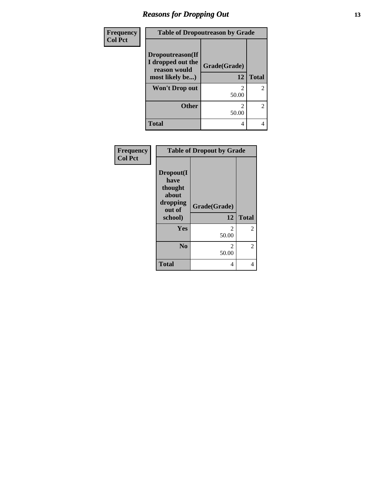### *Reasons for Dropping Out* **13**

| Frequency<br><b>Col Pct</b> | <b>Table of Dropoutreason by Grade</b>                |              |                |
|-----------------------------|-------------------------------------------------------|--------------|----------------|
|                             | Dropoutreason(If<br>I dropped out the<br>reason would | Grade(Grade) |                |
|                             | most likely be)                                       | 12           | <b>Total</b>   |
|                             | <b>Won't Drop out</b>                                 | 2<br>50.00   | $\overline{2}$ |
|                             | <b>Other</b>                                          | 2<br>50.00   | 2              |
|                             | <b>Total</b>                                          | 4            | 4              |

| Frequency      |                                                                        | <b>Table of Dropout by Grade</b> |                |
|----------------|------------------------------------------------------------------------|----------------------------------|----------------|
| <b>Col Pct</b> | Dropout(I<br>have<br>thought<br>about<br>dropping<br>out of<br>school) | Grade(Grade)<br>12               | <b>Total</b>   |
|                | Yes                                                                    | 2<br>50.00                       | $\overline{2}$ |
|                | N <sub>0</sub>                                                         | 2<br>50.00                       | $\overline{2}$ |
|                | <b>Total</b>                                                           | 4                                | 4              |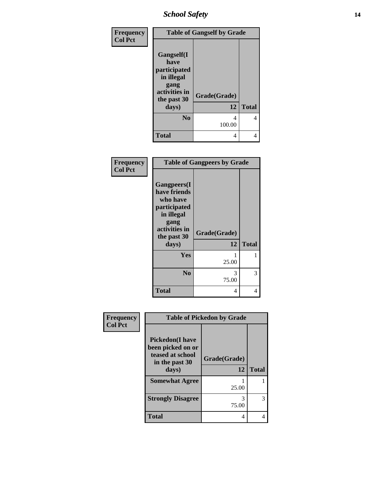### *School Safety* **14**

| <b>Frequency</b> |                                                                                                 | <b>Table of Gangself by Grade</b> |              |
|------------------|-------------------------------------------------------------------------------------------------|-----------------------------------|--------------|
| <b>Col Pct</b>   | <b>Gangself(I</b><br>have<br>participated<br>in illegal<br>gang<br>activities in<br>the past 30 | Grade(Grade)                      |              |
|                  | days)                                                                                           | 12                                | <b>Total</b> |
|                  | N <sub>0</sub>                                                                                  | 4<br>100.00                       | 4            |
|                  | <b>Total</b>                                                                                    | 4                                 | 4            |

| Frequency<br><b>Col Pct</b> | <b>Table of Gangpeers by Grade</b>                                                                                     |                    |              |
|-----------------------------|------------------------------------------------------------------------------------------------------------------------|--------------------|--------------|
|                             | Gangpeers(I<br>have friends<br>who have<br>participated<br>in illegal<br>gang<br>activities in<br>the past 30<br>days) | Grade(Grade)<br>12 | <b>Total</b> |
|                             | Yes                                                                                                                    | 25.00              | 1            |
|                             | N <sub>0</sub>                                                                                                         | 3<br>75.00         | 3            |
|                             | Total                                                                                                                  | 4                  | 4            |

| Frequency<br><b>Col Pct</b> | <b>Table of Pickedon by Grade</b>                                                          |                    |              |
|-----------------------------|--------------------------------------------------------------------------------------------|--------------------|--------------|
|                             | <b>Pickedon(I have</b><br>been picked on or<br>teased at school<br>in the past 30<br>days) | Grade(Grade)<br>12 | <b>Total</b> |
|                             | <b>Somewhat Agree</b>                                                                      |                    |              |
|                             | <b>Strongly Disagree</b>                                                                   | 25.00<br>3         | 3            |
|                             | <b>Total</b>                                                                               | 75.00<br>4         | 4            |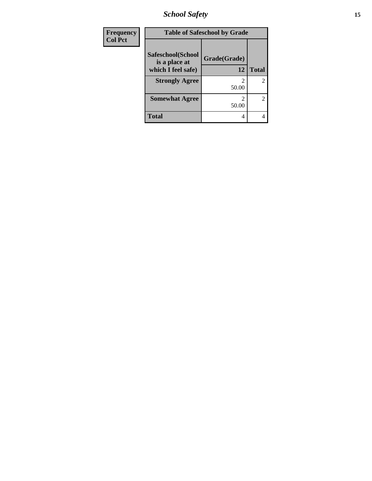*School Safety* **15**

| Frequency      | <b>Table of Safeschool by Grade</b> |                         |              |
|----------------|-------------------------------------|-------------------------|--------------|
| <b>Col Pct</b> | Safeschool(School                   | Grade(Grade)            |              |
|                | is a place at<br>which I feel safe) | 12                      | <b>Total</b> |
|                | <b>Strongly Agree</b>               | 2<br>50.00              | 2            |
|                | <b>Somewhat Agree</b>               | $\mathfrak{D}$<br>50.00 | 2            |
|                | <b>Total</b>                        | 4                       | 4            |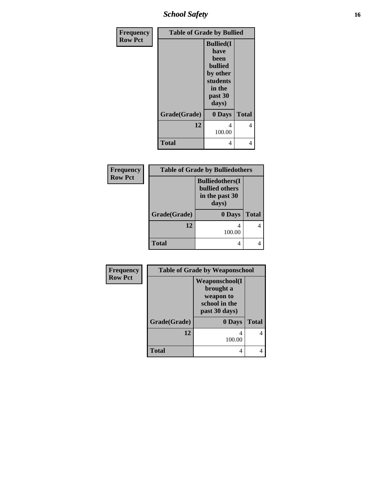*School Safety* **16**

| Frequency      | <b>Table of Grade by Bullied</b> |                                                                                                           |              |
|----------------|----------------------------------|-----------------------------------------------------------------------------------------------------------|--------------|
| <b>Row Pct</b> |                                  | <b>Bullied(I)</b><br>have<br>been<br><b>bullied</b><br>by other<br>students<br>in the<br>past 30<br>days) |              |
|                | Grade(Grade)                     | 0 Days                                                                                                    | <b>Total</b> |
|                | 12                               | 4<br>100.00                                                                                               | 4            |
|                | <b>Total</b>                     | 4                                                                                                         | 4            |

| Frequency      | <b>Table of Grade by Bulliedothers</b> |                                                                             |              |
|----------------|----------------------------------------|-----------------------------------------------------------------------------|--------------|
| <b>Row Pct</b> |                                        | <b>Bulliedothers</b> (I<br><b>bullied others</b><br>in the past 30<br>days) |              |
|                | Grade(Grade)                           | 0 Days                                                                      | <b>Total</b> |
|                | 12                                     | 4<br>100.00                                                                 | 4            |
|                | <b>Total</b>                           | 4                                                                           | 4            |

| Frequency      | <b>Table of Grade by Weaponschool</b> |                                                                                    |              |
|----------------|---------------------------------------|------------------------------------------------------------------------------------|--------------|
| <b>Row Pct</b> |                                       | <b>Weaponschool</b> (I<br>brought a<br>weapon to<br>school in the<br>past 30 days) |              |
|                | Grade(Grade)                          | 0 Days                                                                             | <b>Total</b> |
|                | 12                                    | 100.00                                                                             |              |
|                | Total                                 | 4                                                                                  |              |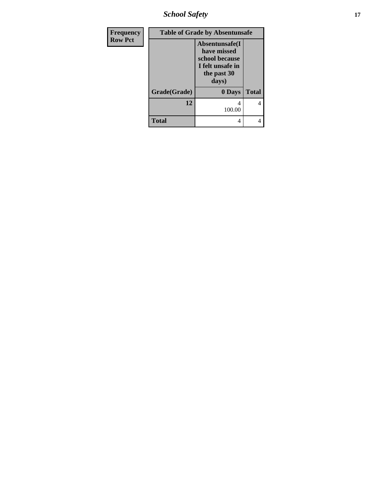*School Safety* **17**

| Frequency      | <b>Table of Grade by Absentunsafe</b> |                                                                                             |              |
|----------------|---------------------------------------|---------------------------------------------------------------------------------------------|--------------|
| <b>Row Pct</b> |                                       | Absentunsafe(I<br>have missed<br>school because<br>I felt unsafe in<br>the past 30<br>days) |              |
|                | Grade(Grade)                          | 0 Days                                                                                      | <b>Total</b> |
|                | 12                                    | 4<br>100.00                                                                                 | 4            |
|                | <b>Total</b>                          | 4                                                                                           |              |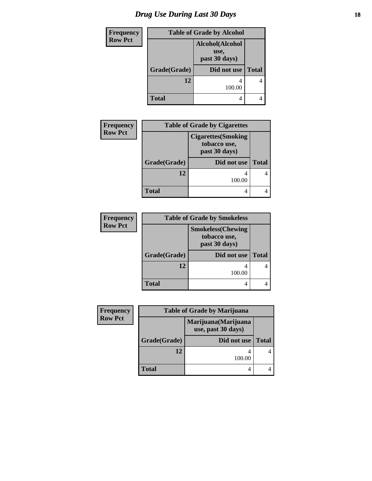# *Drug Use During Last 30 Days* **18**

| Frequency      | <b>Table of Grade by Alcohol</b> |                                          |              |
|----------------|----------------------------------|------------------------------------------|--------------|
| <b>Row Pct</b> |                                  | Alcohol(Alcohol<br>use,<br>past 30 days) |              |
|                | Grade(Grade)                     | Did not use                              | <b>Total</b> |
|                | 12                               | 100.00                                   |              |
|                | Total                            | 4                                        |              |

| <b>Frequency</b> | <b>Table of Grade by Cigarettes</b> |                                                             |              |
|------------------|-------------------------------------|-------------------------------------------------------------|--------------|
| <b>Row Pct</b>   |                                     | <b>Cigarettes</b> (Smoking<br>tobacco use,<br>past 30 days) |              |
|                  | Grade(Grade)                        | Did not use                                                 | <b>Total</b> |
|                  | 12                                  | 100.00                                                      |              |
|                  | Total                               | 4                                                           |              |

| <b>Frequency</b> | <b>Table of Grade by Smokeless</b> |                                                            |              |
|------------------|------------------------------------|------------------------------------------------------------|--------------|
| <b>Row Pct</b>   |                                    | <b>Smokeless</b> (Chewing<br>tobacco use,<br>past 30 days) |              |
|                  | Grade(Grade)                       | Did not use                                                | <b>Total</b> |
|                  | 12                                 | 100.00                                                     |              |
|                  | <b>Total</b>                       | 4                                                          |              |

| Frequency      | <b>Table of Grade by Marijuana</b> |                                            |              |
|----------------|------------------------------------|--------------------------------------------|--------------|
| <b>Row Pct</b> |                                    | Marijuana (Marijuana<br>use, past 30 days) |              |
|                | Grade(Grade)                       | Did not use                                | <b>Total</b> |
|                | 12                                 | 100.00                                     |              |
|                | <b>Total</b>                       | 4                                          |              |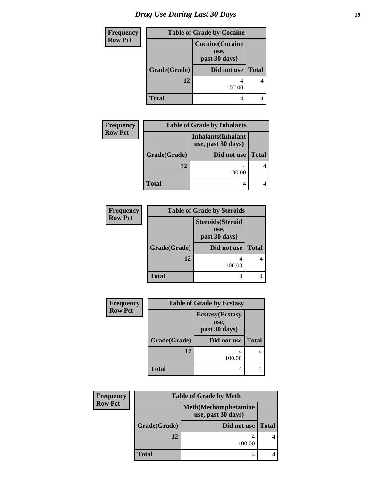| <b>Frequency</b> | <b>Table of Grade by Cocaine</b> |                                                  |              |
|------------------|----------------------------------|--------------------------------------------------|--------------|
| <b>Row Pct</b>   |                                  | <b>Cocaine</b> (Cocaine<br>use,<br>past 30 days) |              |
|                  | Grade(Grade)                     | Did not use                                      | <b>Total</b> |
|                  | 12                               | 100.00                                           | 4            |
|                  | <b>Total</b>                     |                                                  |              |

| <b>Frequency</b> | <b>Table of Grade by Inhalants</b> |                                                  |              |
|------------------|------------------------------------|--------------------------------------------------|--------------|
| <b>Row Pct</b>   |                                    | <b>Inhalants</b> (Inhalant<br>use, past 30 days) |              |
|                  | Grade(Grade)                       | Did not use                                      | <b>Total</b> |
|                  | 12                                 | 100.00                                           |              |
|                  | <b>Total</b>                       | 4                                                |              |

| <b>Frequency</b> | <b>Table of Grade by Steroids</b> |                                                   |              |
|------------------|-----------------------------------|---------------------------------------------------|--------------|
| <b>Row Pct</b>   |                                   | <b>Steroids</b> (Steroid<br>use,<br>past 30 days) |              |
|                  | Grade(Grade)                      | Did not use                                       | <b>Total</b> |
|                  | 12                                | 100.00                                            |              |
|                  | Total                             |                                                   |              |

| <b>Frequency</b> | <b>Table of Grade by Ecstasy</b> |                                                  |              |
|------------------|----------------------------------|--------------------------------------------------|--------------|
| <b>Row Pct</b>   |                                  | <b>Ecstasy</b> (Ecstasy<br>use,<br>past 30 days) |              |
|                  | Grade(Grade)                     | Did not use                                      | <b>Total</b> |
|                  | 12                               | 100.00                                           | 4            |
|                  | <b>Total</b>                     | 4                                                |              |

| <b>Frequency</b> | <b>Table of Grade by Meth</b> |                                                    |              |
|------------------|-------------------------------|----------------------------------------------------|--------------|
| <b>Row Pct</b>   |                               | <b>Meth</b> (Methamphetamine<br>use, past 30 days) |              |
|                  | Grade(Grade)                  | Did not use                                        | <b>Total</b> |
|                  | 12                            | 100.00                                             |              |
|                  | <b>Total</b>                  |                                                    |              |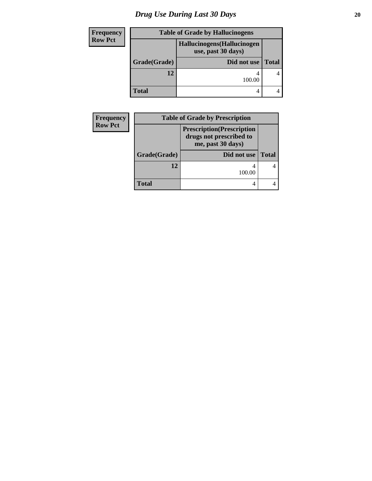# *Drug Use During Last 30 Days* 20

| Frequency      | <b>Table of Grade by Hallucinogens</b> |                                                   |              |
|----------------|----------------------------------------|---------------------------------------------------|--------------|
| <b>Row Pct</b> |                                        | Hallucinogens (Hallucinogen<br>use, past 30 days) |              |
|                | Grade(Grade)                           | Did not use                                       | <b>Total</b> |
|                | 12                                     | 100.00                                            |              |
|                | <b>Total</b>                           | 4                                                 |              |

| <b>Frequency</b> | <b>Table of Grade by Prescription</b> |                                                                                   |              |
|------------------|---------------------------------------|-----------------------------------------------------------------------------------|--------------|
| <b>Row Pct</b>   |                                       | <b>Prescription</b> (Prescription<br>drugs not prescribed to<br>me, past 30 days) |              |
|                  | Grade(Grade)                          | Did not use                                                                       | <b>Total</b> |
|                  | 12                                    | 100.00                                                                            |              |
|                  | <b>Total</b>                          |                                                                                   |              |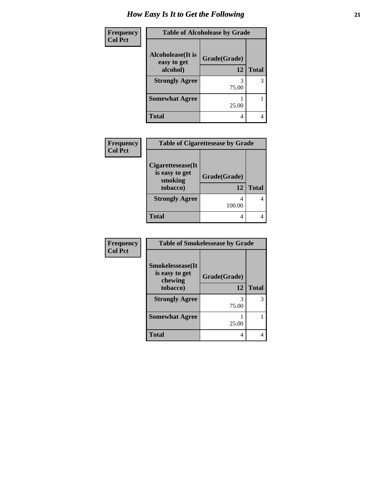| Frequency      | <b>Table of Alcoholease by Grade</b> |              |              |
|----------------|--------------------------------------|--------------|--------------|
| <b>Col Pct</b> | Alcoholease(It is<br>easy to get     | Grade(Grade) |              |
|                | alcohol)                             | 12           | <b>Total</b> |
|                | <b>Strongly Agree</b>                | 3<br>75.00   | 3            |
|                | <b>Somewhat Agree</b>                | 25.00        |              |
|                | <b>Total</b>                         | 4            |              |

| Frequency      | <b>Table of Cigarettesease by Grade</b>                    |                    |              |
|----------------|------------------------------------------------------------|--------------------|--------------|
| <b>Col Pct</b> | Cigarettesease(It<br>is easy to get<br>smoking<br>tobacco) | Grade(Grade)<br>12 | <b>Total</b> |
|                | <b>Strongly Agree</b>                                      | 100.00             |              |
|                | <b>Total</b>                                               | 4                  |              |

| Frequency      | <b>Table of Smokelessease by Grade</b>     |              |              |
|----------------|--------------------------------------------|--------------|--------------|
| <b>Col Pct</b> | <b>Smokelessease</b> (It<br>is easy to get | Grade(Grade) |              |
|                | chewing<br>tobacco)                        | 12           | <b>Total</b> |
|                | <b>Strongly Agree</b>                      | 3<br>75.00   | 3            |
|                | <b>Somewhat Agree</b>                      | 25.00        |              |
|                | <b>Total</b>                               | 4            |              |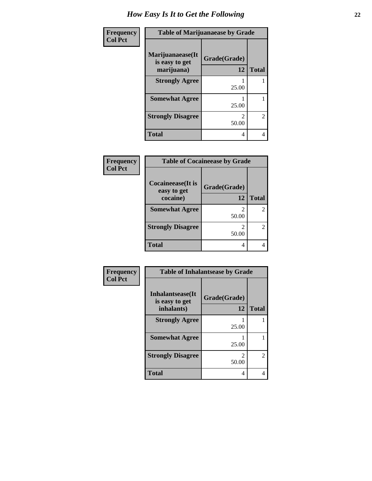| <b>Frequency</b> | <b>Table of Marijuanaease by Grade</b>           |                         |                |
|------------------|--------------------------------------------------|-------------------------|----------------|
| <b>Col Pct</b>   | Marijuanaease(It<br>is easy to get<br>marijuana) | Grade(Grade)<br>12      | <b>Total</b>   |
|                  | <b>Strongly Agree</b>                            | 25.00                   |                |
|                  | <b>Somewhat Agree</b>                            | 25.00                   |                |
|                  | <b>Strongly Disagree</b>                         | $\mathfrak{D}$<br>50.00 | $\overline{2}$ |
|                  | <b>Total</b>                                     | 4                       | 4              |

| <b>Frequency</b> | <b>Table of Cocaineease by Grade</b> |              |               |
|------------------|--------------------------------------|--------------|---------------|
| <b>Col Pct</b>   | Cocaineease(It is                    | Grade(Grade) |               |
|                  | easy to get                          | 12           |               |
|                  | cocaine)                             |              | <b>Total</b>  |
|                  | <b>Somewhat Agree</b>                |              |               |
|                  |                                      | 50.00        |               |
|                  | <b>Strongly Disagree</b>             | 2            | $\mathcal{L}$ |
|                  |                                      | 50.00        |               |
|                  | <b>Total</b>                         | 4            |               |

| Frequency      | <b>Table of Inhalantsease by Grade</b>            |                    |                |
|----------------|---------------------------------------------------|--------------------|----------------|
| <b>Col Pct</b> | Inhalantsease(It)<br>is easy to get<br>inhalants) | Grade(Grade)<br>12 | <b>Total</b>   |
|                | <b>Strongly Agree</b>                             | 25.00              |                |
|                | <b>Somewhat Agree</b>                             | 25.00              |                |
|                | <b>Strongly Disagree</b>                          | っ<br>50.00         | $\overline{2}$ |
|                | <b>Total</b>                                      | 4                  | 4              |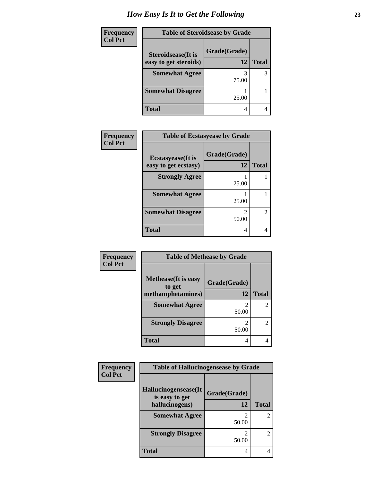| Frequency      | <b>Table of Steroidsease by Grade</b>               |                    |              |
|----------------|-----------------------------------------------------|--------------------|--------------|
| <b>Col Pct</b> | <b>Steroidsease</b> (It is<br>easy to get steroids) | Grade(Grade)<br>12 | <b>Total</b> |
|                | <b>Somewhat Agree</b>                               | 75.00              |              |
|                | <b>Somewhat Disagree</b>                            | 25.00              |              |
|                | <b>Total</b>                                        | 4                  |              |

| Frequency      | <b>Table of Ecstasyease by Grade</b>              |                    |              |
|----------------|---------------------------------------------------|--------------------|--------------|
| <b>Col Pct</b> | <b>Ecstasyease</b> (It is<br>easy to get ecstasy) | Grade(Grade)<br>12 | <b>Total</b> |
|                | <b>Strongly Agree</b>                             | 25.00              |              |
|                | <b>Somewhat Agree</b>                             | 25.00              |              |
|                | <b>Somewhat Disagree</b>                          | 50.00              | 2            |
|                | <b>Total</b>                                      | 4                  | 4            |

| Frequency      | <b>Table of Methease by Grade</b>                          |                    |                |
|----------------|------------------------------------------------------------|--------------------|----------------|
| <b>Col Pct</b> | <b>Methease</b> (It is easy<br>to get<br>methamphetamines) | Grade(Grade)<br>12 | <b>Total</b>   |
|                | <b>Somewhat Agree</b>                                      | 50.00              | 2              |
|                | <b>Strongly Disagree</b>                                   | 50.00              | $\overline{2}$ |
|                | <b>Total</b>                                               | 4                  |                |

| Frequency      | <b>Table of Hallucinogensease by Grade</b> |                         |                |
|----------------|--------------------------------------------|-------------------------|----------------|
| <b>Col Pct</b> | Hallucinogensease(It<br>is easy to get     | Grade(Grade)            |                |
|                | hallucinogens)                             | 12                      | <b>Total</b>   |
|                | <b>Somewhat Agree</b>                      | っ<br>50.00              | $\mathfrak{D}$ |
|                | <b>Strongly Disagree</b>                   | $\mathfrak{D}$<br>50.00 | $\overline{2}$ |
|                | <b>Total</b>                               | 4                       |                |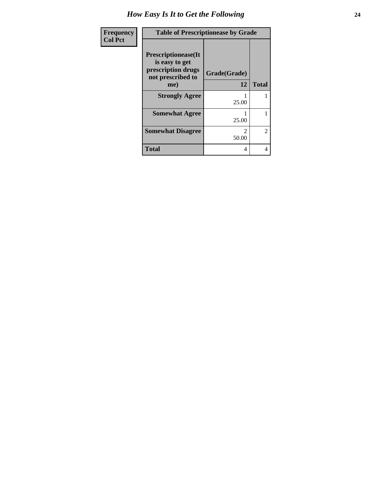| Frequency      | <b>Table of Prescriptionease by Grade</b>                                                |                                      |              |
|----------------|------------------------------------------------------------------------------------------|--------------------------------------|--------------|
| <b>Col Pct</b> | <b>Prescriptionease</b> (It<br>is easy to get<br>prescription drugs<br>not prescribed to | Grade(Grade)                         |              |
|                | me)                                                                                      | 12                                   | <b>Total</b> |
|                | <b>Strongly Agree</b>                                                                    | 25.00                                |              |
|                | <b>Somewhat Agree</b>                                                                    | 25.00                                |              |
|                | <b>Somewhat Disagree</b>                                                                 | $\mathcal{D}_{\mathcal{L}}$<br>50.00 | 2            |
|                | <b>Total</b>                                                                             | 4                                    | 4            |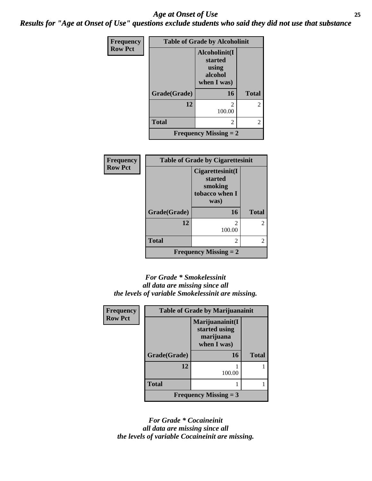#### *Age at Onset of Use* **25** *Results for "Age at Onset of Use" questions exclude students who said they did not use that substance*

| <b>Frequency</b> | <b>Table of Grade by Alcoholinit</b> |                                                             |              |
|------------------|--------------------------------------|-------------------------------------------------------------|--------------|
| <b>Row Pct</b>   |                                      | Alcoholinit(I<br>started<br>using<br>alcohol<br>when I was) |              |
|                  | Grade(Grade)                         | 16                                                          | <b>Total</b> |
|                  | 12                                   | っ<br>100.00                                                 | 2            |
|                  | <b>Total</b>                         | 2                                                           | 2            |
|                  |                                      | <b>Frequency Missing <math>= 2</math></b>                   |              |

| Frequency      |              | <b>Table of Grade by Cigarettesinit</b>                          |                |
|----------------|--------------|------------------------------------------------------------------|----------------|
| <b>Row Pct</b> |              | Cigarettesinit(I<br>started<br>smoking<br>tobacco when I<br>was) |                |
|                | Grade(Grade) | 16                                                               | <b>Total</b>   |
|                | 12           | $\mathfrak{D}$<br>100.00                                         | 2              |
|                | <b>Total</b> | 2                                                                | $\overline{2}$ |
|                |              | <b>Frequency Missing = 2</b>                                     |                |

#### *For Grade \* Smokelessinit all data are missing since all the levels of variable Smokelessinit are missing.*

| Frequency      | <b>Table of Grade by Marijuanainit</b> |                                                              |              |
|----------------|----------------------------------------|--------------------------------------------------------------|--------------|
| <b>Row Pct</b> |                                        | Marijuanainit(I<br>started using<br>marijuana<br>when I was) |              |
|                | Grade(Grade)                           | <b>16</b>                                                    | <b>Total</b> |
|                | 12                                     | 100.00                                                       |              |
|                | <b>Total</b>                           |                                                              |              |
|                |                                        | <b>Frequency Missing = 3</b>                                 |              |

*For Grade \* Cocaineinit all data are missing since all the levels of variable Cocaineinit are missing.*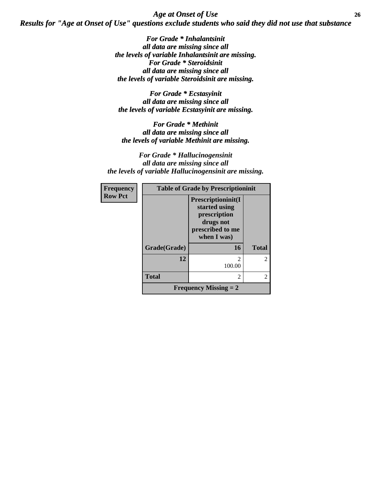*Age at Onset of Use* **26** *Results for "Age at Onset of Use" questions exclude students who said they did not use that substance*

> *For Grade \* Inhalantsinit all data are missing since all the levels of variable Inhalantsinit are missing. For Grade \* Steroidsinit all data are missing since all the levels of variable Steroidsinit are missing.*

*For Grade \* Ecstasyinit all data are missing since all the levels of variable Ecstasyinit are missing.*

*For Grade \* Methinit all data are missing since all the levels of variable Methinit are missing.*

*For Grade \* Hallucinogensinit all data are missing since all the levels of variable Hallucinogensinit are missing.*

| <b>Frequency</b> | <b>Table of Grade by Prescriptioninit</b> |                                                                                                             |               |
|------------------|-------------------------------------------|-------------------------------------------------------------------------------------------------------------|---------------|
| <b>Row Pct</b>   |                                           | <b>Prescriptioninit(I)</b><br>started using<br>prescription<br>drugs not<br>prescribed to me<br>when I was) |               |
|                  | Grade(Grade)                              | 16                                                                                                          | <b>Total</b>  |
|                  | 12                                        | 2<br>100.00                                                                                                 | $\mathcal{L}$ |
|                  | <b>Total</b>                              | 2                                                                                                           | $\mathcal{L}$ |
|                  |                                           | <b>Frequency Missing = 2</b>                                                                                |               |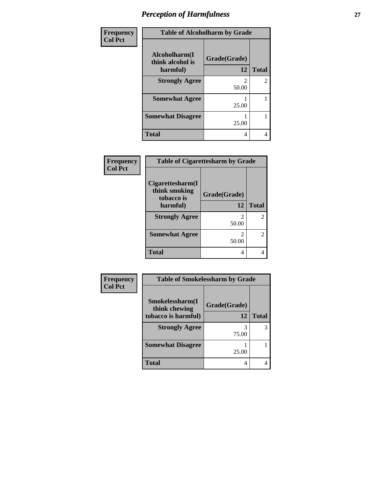### *Perception of Harmfulness* **27**

| Frequency      | <b>Table of Alcoholharm by Grade</b>          |                         |                |
|----------------|-----------------------------------------------|-------------------------|----------------|
| <b>Col Pct</b> | Alcoholharm(I<br>think alcohol is<br>harmful) | Grade(Grade)<br>12      | <b>Total</b>   |
|                | <b>Strongly Agree</b>                         | $\mathfrak{D}$<br>50.00 | $\overline{2}$ |
|                | <b>Somewhat Agree</b>                         | 25.00                   |                |
|                | <b>Somewhat Disagree</b>                      | 25.00                   |                |
|                | <b>Total</b>                                  | 4                       | 4              |

| Frequency<br><b>Col Pct</b> | <b>Table of Cigarettesharm by Grade</b>           |                         |                |
|-----------------------------|---------------------------------------------------|-------------------------|----------------|
|                             | Cigare ttesharm(I)<br>think smoking<br>tobacco is | Grade(Grade)            |                |
|                             | harmful)                                          | 12                      | <b>Total</b>   |
|                             | <b>Strongly Agree</b>                             | $\mathfrak{D}$<br>50.00 | $\overline{2}$ |
|                             | <b>Somewhat Agree</b>                             | $\mathcal{L}$<br>50.00  | $\overline{2}$ |
|                             | <b>Total</b>                                      | 4                       | 4              |

| Frequency      | <b>Table of Smokelessharm by Grade</b> |              |              |
|----------------|----------------------------------------|--------------|--------------|
| <b>Col Pct</b> | Smokelessharm(I<br>think chewing       | Grade(Grade) |              |
|                | tobacco is harmful)                    | 12           | <b>Total</b> |
|                | <b>Strongly Agree</b>                  | 3<br>75.00   |              |
|                | <b>Somewhat Disagree</b>               | 25.00        |              |
|                | <b>Total</b>                           | 4            |              |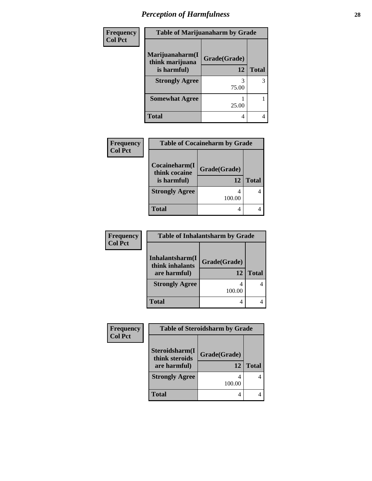# *Perception of Harmfulness* **28**

| <b>Frequency</b> | <b>Table of Marijuanaharm by Grade</b>            |                    |              |
|------------------|---------------------------------------------------|--------------------|--------------|
| <b>Col Pct</b>   | Marijuanaharm(I<br>think marijuana<br>is harmful) | Grade(Grade)<br>12 | <b>Total</b> |
|                  | <b>Strongly Agree</b>                             | 75.00              | 3            |
|                  | <b>Somewhat Agree</b>                             | 25.00              |              |
|                  | <b>Total</b>                                      | 4                  | 4            |

| <b>Frequency</b> | <b>Table of Cocaineharm by Grade</b> |              |              |
|------------------|--------------------------------------|--------------|--------------|
| <b>Col Pct</b>   |                                      |              |              |
|                  | Cocaineharm(I<br>think cocaine       | Grade(Grade) |              |
|                  | is harmful)                          | 12           | <b>Total</b> |
|                  | <b>Strongly Agree</b>                | 100.00       | 4            |
|                  | <b>Total</b>                         | 4            |              |

| <b>Frequency</b> | <b>Table of Inhalantsharm by Grade</b> |              |              |
|------------------|----------------------------------------|--------------|--------------|
| <b>Col Pct</b>   | Inhalantsharm(I<br>think inhalants     | Grade(Grade) |              |
|                  | are harmful)                           | 12           | <b>Total</b> |
|                  | <b>Strongly Agree</b>                  | 100.00       |              |
|                  | <b>Total</b>                           | 4            |              |

| Frequency      | <b>Table of Steroidsharm by Grade</b> |              |              |
|----------------|---------------------------------------|--------------|--------------|
| <b>Col Pct</b> | Steroidsharm(I                        | Grade(Grade) |              |
|                | think steroids<br>are harmful)        | 12           | <b>Total</b> |
|                | <b>Strongly Agree</b>                 | 100.00       |              |
|                | <b>Total</b>                          |              |              |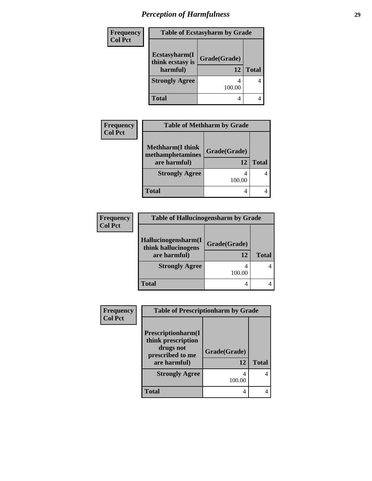# *Perception of Harmfulness* **29**

| <b>Frequency</b> | <b>Table of Ecstasyharm by Grade</b> |              |              |
|------------------|--------------------------------------|--------------|--------------|
| <b>Col Pct</b>   | Ecstasyharm(I<br>think ecstasy is    | Grade(Grade) |              |
|                  | harmful)                             | 12           | <b>Total</b> |
|                  | <b>Strongly Agree</b>                | 100.00       | 4            |
|                  | <b>Total</b>                         | 4            |              |

| <b>Frequency</b> | <b>Table of Methharm by Grade</b>            |              |              |
|------------------|----------------------------------------------|--------------|--------------|
| <b>Col Pct</b>   |                                              |              |              |
|                  | <b>Methharm</b> (I think<br>methamphetamines | Grade(Grade) |              |
|                  | are harmful)                                 | 12           | <b>Total</b> |
|                  | <b>Strongly Agree</b>                        | 4<br>100.00  |              |
|                  | Total                                        | 4            |              |

| <b>Frequency</b> | <b>Table of Hallucinogensharm by Grade</b> |              |              |
|------------------|--------------------------------------------|--------------|--------------|
| <b>Col Pct</b>   |                                            |              |              |
|                  | Hallucinogensharm(I<br>think hallucinogens | Grade(Grade) |              |
|                  | are harmful)                               | 12           | <b>Total</b> |
|                  | <b>Strongly Agree</b>                      | 100.00       |              |
|                  | <b>Total</b>                               |              |              |

| Frequency      | <b>Table of Prescriptionharm by Grade</b>                                                         |                    |              |
|----------------|---------------------------------------------------------------------------------------------------|--------------------|--------------|
| <b>Col Pct</b> | <b>Prescriptionharm(I)</b><br>think prescription<br>drugs not<br>prescribed to me<br>are harmful) | Grade(Grade)<br>12 | <b>Total</b> |
|                | <b>Strongly Agree</b>                                                                             | 4<br>100.00        | 4            |
|                | <b>Total</b>                                                                                      | 4                  |              |
|                |                                                                                                   |                    |              |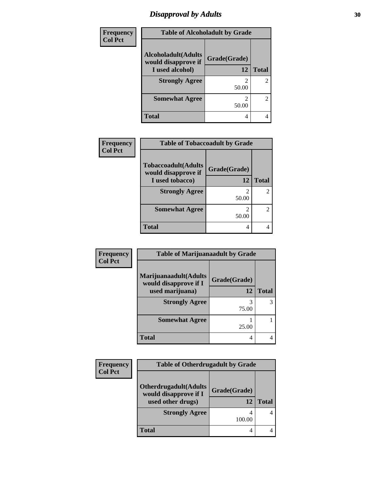#### *Disapproval by Adults* 30

| <b>Frequency</b> | <b>Table of Alcoholadult by Grade</b>              |              |              |
|------------------|----------------------------------------------------|--------------|--------------|
| <b>Col Pct</b>   | <b>Alcoholadult</b> (Adults<br>would disapprove if | Grade(Grade) |              |
|                  | I used alcohol)                                    | 12           | <b>Total</b> |
|                  | <b>Strongly Agree</b>                              |              | 2            |
|                  |                                                    | 50.00        |              |
|                  | <b>Somewhat Agree</b>                              |              | 2            |
|                  |                                                    | 50.00        |              |
|                  | <b>Total</b>                                       | 4            |              |

| <b>Frequency</b> |                                                    | <b>Table of Tobaccoadult by Grade</b> |              |  |
|------------------|----------------------------------------------------|---------------------------------------|--------------|--|
| <b>Col Pct</b>   | <b>Tobaccoadult</b> (Adults<br>would disapprove if | Grade(Grade)                          |              |  |
|                  | I used tobacco)                                    | 12                                    | <b>Total</b> |  |
|                  | <b>Strongly Agree</b>                              | 2<br>50.00                            |              |  |
|                  | <b>Somewhat Agree</b>                              | $\mathfrak{D}$<br>50.00               |              |  |
|                  | Total                                              | 4                                     |              |  |

| Frequency      | <b>Table of Marijuanaadult by Grade</b>        |              |              |
|----------------|------------------------------------------------|--------------|--------------|
| <b>Col Pct</b> | Marijuanaadult(Adults<br>would disapprove if I | Grade(Grade) |              |
|                | used marijuana)                                | 12           | <b>Total</b> |
|                | <b>Strongly Agree</b>                          | 3<br>75.00   |              |
|                | <b>Somewhat Agree</b>                          | 25.00        |              |
|                | <b>Total</b>                                   | 4            |              |

| Frequency      | <b>Table of Otherdrugadult by Grade</b>                |              |              |
|----------------|--------------------------------------------------------|--------------|--------------|
| <b>Col Pct</b> |                                                        |              |              |
|                | <b>Otherdrugadult</b> (Adults<br>would disapprove if I | Grade(Grade) |              |
|                | used other drugs)                                      | 12           | <b>Total</b> |
|                | <b>Strongly Agree</b>                                  | 100.00       |              |
|                | Total                                                  | 4            |              |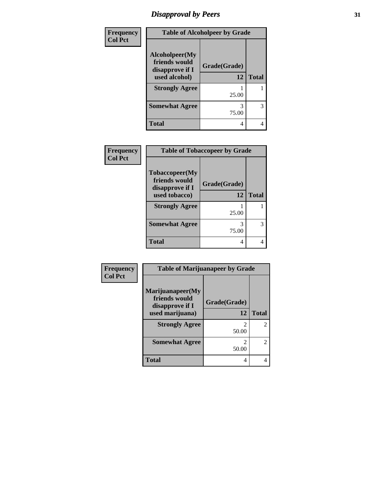# *Disapproval by Peers* **31**

| Frequency      | <b>Table of Alcoholpeer by Grade</b>               |              |              |
|----------------|----------------------------------------------------|--------------|--------------|
| <b>Col Pct</b> | Alcoholpeer(My<br>friends would<br>disapprove if I | Grade(Grade) |              |
|                | used alcohol)                                      | 12           | <b>Total</b> |
|                | <b>Strongly Agree</b>                              | 25.00        |              |
|                | <b>Somewhat Agree</b>                              | 3<br>75.00   | 3            |
|                | Total                                              | 4            | 4            |

| Frequency<br><b>Col Pct</b> | <b>Table of Tobaccopeer by Grade</b>                                        |                    |              |
|-----------------------------|-----------------------------------------------------------------------------|--------------------|--------------|
|                             | <b>Tobaccopeer</b> (My<br>friends would<br>disapprove if I<br>used tobacco) | Grade(Grade)<br>12 | <b>Total</b> |
|                             | <b>Strongly Agree</b>                                                       |                    |              |
|                             |                                                                             | 25.00              |              |
|                             | <b>Somewhat Agree</b>                                                       | 75.00              | 3            |
|                             | <b>Total</b>                                                                | 4                  |              |

| <b>Frequency</b> |
|------------------|
| Col Pct          |

| <b>Table of Marijuanapeer by Grade</b>               |                                      |                       |
|------------------------------------------------------|--------------------------------------|-----------------------|
| Marijuanapeer(My<br>friends would<br>disapprove if I | Grade(Grade)                         |                       |
| used marijuana)                                      | 12                                   | <b>Total</b>          |
| <b>Strongly Agree</b>                                | $\mathcal{D}_{\mathcal{L}}$<br>50.00 | 2                     |
| <b>Somewhat Agree</b>                                | 2<br>50.00                           | $\mathcal{D}_{\cdot}$ |
| Total                                                | 4                                    |                       |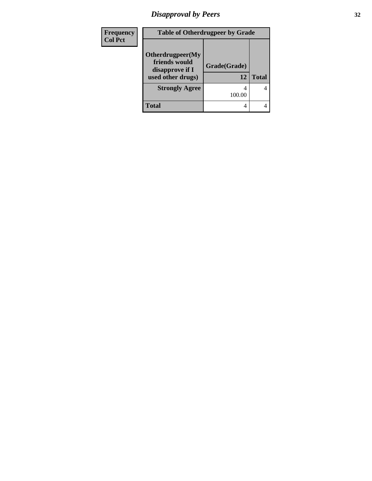# *Disapproval by Peers* **32**

| <b>Frequency</b> | <b>Table of Otherdrugpeer by Grade</b>                                    |                    |              |
|------------------|---------------------------------------------------------------------------|--------------------|--------------|
| <b>Col Pct</b>   | Otherdrugpeer(My<br>friends would<br>disapprove if I<br>used other drugs) | Grade(Grade)<br>12 | <b>Total</b> |
|                  | <b>Strongly Agree</b>                                                     | 100.00             | 4            |
|                  | <b>Total</b>                                                              |                    |              |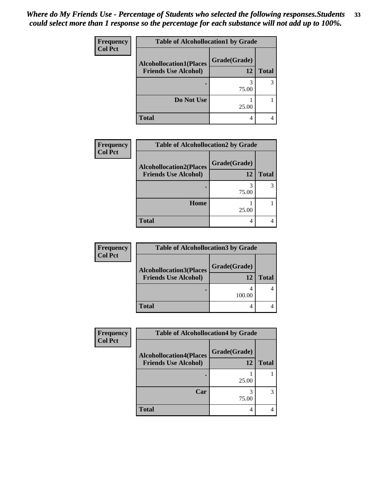| Frequency      | <b>Table of Alcohollocation1 by Grade</b> |              |              |
|----------------|-------------------------------------------|--------------|--------------|
| <b>Col Pct</b> | <b>Alcohollocation1(Places</b>            | Grade(Grade) |              |
|                | <b>Friends Use Alcohol)</b>               | 12           | <b>Total</b> |
|                |                                           | 75.00        | 3            |
|                | Do Not Use                                | 25.00        |              |
|                | <b>Total</b>                              | 4            |              |

| <b>Frequency</b> | <b>Table of Alcohollocation2 by Grade</b>                     |                    |              |
|------------------|---------------------------------------------------------------|--------------------|--------------|
| <b>Col Pct</b>   | <b>Alcohollocation2(Places</b><br><b>Friends Use Alcohol)</b> | Grade(Grade)<br>12 | <b>Total</b> |
|                  |                                                               | 75.00              |              |
|                  | Home                                                          | 25.00              |              |
|                  | <b>Total</b>                                                  | 4                  |              |

| Frequency      | <b>Table of Alcohollocation 3 by Grade</b> |              |              |
|----------------|--------------------------------------------|--------------|--------------|
| <b>Col Pct</b> | <b>Alcohollocation3(Places</b>             | Grade(Grade) |              |
|                | <b>Friends Use Alcohol)</b>                | 12           | <b>Total</b> |
|                |                                            | 100.00       |              |
|                | <b>Total</b>                               | 4            |              |

| Frequency      | <b>Table of Alcohollocation4 by Grade</b>                     |                    |              |
|----------------|---------------------------------------------------------------|--------------------|--------------|
| <b>Col Pct</b> | <b>Alcohollocation4(Places</b><br><b>Friends Use Alcohol)</b> | Grade(Grade)<br>12 | <b>Total</b> |
|                |                                                               | 25.00              |              |
|                | Car                                                           | 75.00              |              |
|                | <b>Total</b>                                                  | 4                  |              |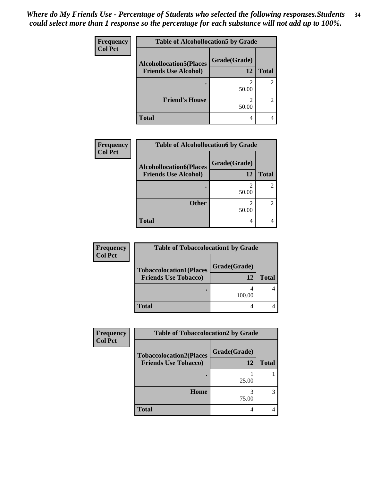| Frequency      | <b>Table of Alcohollocation5 by Grade</b> |              |                |
|----------------|-------------------------------------------|--------------|----------------|
| <b>Col Pct</b> | <b>Alcohollocation5(Places</b>            | Grade(Grade) |                |
|                | <b>Friends Use Alcohol)</b>               | 12           | <b>Total</b>   |
|                |                                           | 50.00        | $\overline{c}$ |
|                | <b>Friend's House</b>                     | 50.00        | 2              |
|                | <b>Total</b>                              | 4            |                |

| <b>Frequency</b> | <b>Table of Alcohollocation6 by Grade</b>                     |                    |              |
|------------------|---------------------------------------------------------------|--------------------|--------------|
| <b>Col Pct</b>   | <b>Alcohollocation6(Places</b><br><b>Friends Use Alcohol)</b> | Grade(Grade)<br>12 | <b>Total</b> |
|                  |                                                               | 2<br>50.00         |              |
|                  | <b>Other</b>                                                  | 50.00              |              |
|                  | <b>Total</b>                                                  | 4                  |              |

| <b>Frequency</b> | <b>Table of Tobaccolocation1 by Grade</b> |              |              |
|------------------|-------------------------------------------|--------------|--------------|
| <b>Col Pct</b>   | <b>Tobaccolocation1(Places</b>            | Grade(Grade) |              |
|                  | <b>Friends Use Tobacco)</b>               | 12           | <b>Total</b> |
|                  |                                           | 100.00       |              |
|                  | <b>Total</b>                              |              |              |

| <b>Frequency</b> | <b>Table of Tobaccolocation2 by Grade</b>                     |                    |              |
|------------------|---------------------------------------------------------------|--------------------|--------------|
| <b>Col Pct</b>   | <b>Tobaccolocation2(Places</b><br><b>Friends Use Tobacco)</b> | Grade(Grade)<br>12 | <b>Total</b> |
|                  |                                                               | 25.00              |              |
|                  | <b>Home</b>                                                   | 75.00              |              |
|                  | <b>Total</b>                                                  | 4                  |              |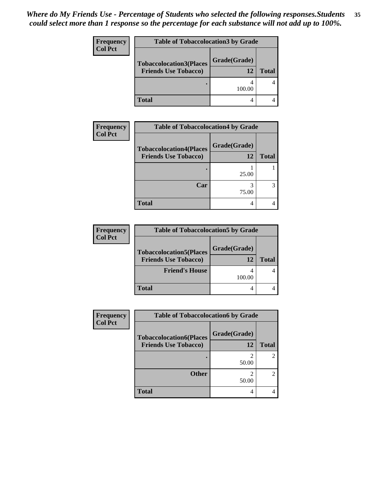| <b>Frequency</b> | <b>Table of Tobaccolocation3 by Grade</b> |              |              |
|------------------|-------------------------------------------|--------------|--------------|
| <b>Col Pct</b>   | <b>Tobaccolocation3(Places</b>            | Grade(Grade) |              |
|                  | <b>Friends Use Tobacco)</b>               | 12           | <b>Total</b> |
|                  |                                           | 100.00       |              |
|                  | <b>Total</b>                              |              |              |

| Frequency      | <b>Table of Tobaccolocation4 by Grade</b>                     |                    |              |
|----------------|---------------------------------------------------------------|--------------------|--------------|
| <b>Col Pct</b> | <b>Tobaccolocation4(Places</b><br><b>Friends Use Tobacco)</b> | Grade(Grade)<br>12 | <b>Total</b> |
|                |                                                               | 25.00              |              |
|                | Car                                                           | 3<br>75.00         | 3            |
|                | <b>Total</b>                                                  | 4                  |              |

| <b>Frequency</b> | <b>Table of Tobaccolocation5 by Grade</b> |              |              |
|------------------|-------------------------------------------|--------------|--------------|
| <b>Col Pct</b>   | <b>Tobaccolocation5(Places</b>            | Grade(Grade) |              |
|                  | <b>Friends Use Tobacco)</b>               | 12           | <b>Total</b> |
|                  | <b>Friend's House</b>                     | 100.00       |              |
|                  | <b>Total</b>                              |              |              |

| <b>Frequency</b> | <b>Table of Tobaccolocation6 by Grade</b>                     |                    |                |
|------------------|---------------------------------------------------------------|--------------------|----------------|
| <b>Col Pct</b>   | <b>Tobaccolocation6(Places</b><br><b>Friends Use Tobacco)</b> | Grade(Grade)<br>12 | <b>Total</b>   |
|                  |                                                               | ി<br>50.00         | $\overline{2}$ |
|                  | <b>Other</b>                                                  | ി<br>50.00         | $\overline{2}$ |
|                  | <b>Total</b>                                                  |                    |                |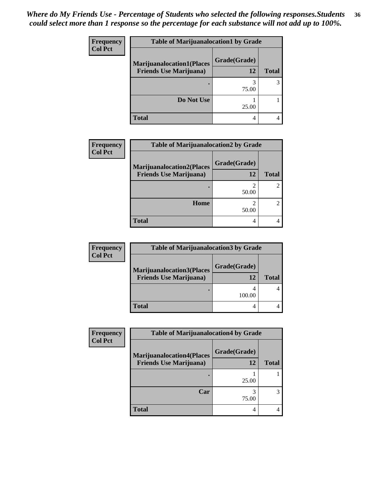| <b>Frequency</b> | <b>Table of Marijuanalocation1 by Grade</b> |              |              |
|------------------|---------------------------------------------|--------------|--------------|
| <b>Col Pct</b>   | <b>Marijuanalocation1(Places</b>            | Grade(Grade) |              |
|                  | <b>Friends Use Marijuana</b> )              | 12           | <b>Total</b> |
|                  |                                             | 75.00        |              |
|                  | Do Not Use                                  | 25.00        |              |
|                  | <b>Total</b>                                | 4            |              |

| Frequency      | <b>Table of Marijuanalocation2 by Grade</b>                        |                    |              |
|----------------|--------------------------------------------------------------------|--------------------|--------------|
| <b>Col Pct</b> | <b>Marijuanalocation2(Places</b><br><b>Friends Use Marijuana</b> ) | Grade(Grade)<br>12 | <b>Total</b> |
|                |                                                                    | 50.00              |              |
|                | Home                                                               | 50.00              |              |
|                | <b>Total</b>                                                       | 4                  |              |

| <b>Frequency</b> | <b>Table of Marijuanalocation3 by Grade</b>                        |              |              |
|------------------|--------------------------------------------------------------------|--------------|--------------|
| <b>Col Pct</b>   | <b>Marijuanalocation3(Places</b><br><b>Friends Use Marijuana</b> ) | Grade(Grade) |              |
|                  |                                                                    | 12           | <b>Total</b> |
|                  |                                                                    | 100.00       |              |
|                  | <b>Total</b>                                                       | 4            |              |

| Frequency      | <b>Table of Marijuanalocation4 by Grade</b>                        |                    |              |
|----------------|--------------------------------------------------------------------|--------------------|--------------|
| <b>Col Pct</b> | <b>Marijuanalocation4(Places</b><br><b>Friends Use Marijuana</b> ) | Grade(Grade)<br>12 | <b>Total</b> |
|                |                                                                    | 25.00              |              |
|                | Car                                                                | 75.00              |              |
|                | <b>Total</b>                                                       | 4                  |              |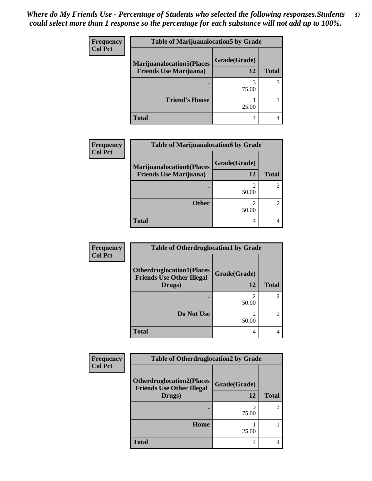| <b>Frequency</b> | <b>Table of Marijuanalocation5 by Grade</b> |              |              |
|------------------|---------------------------------------------|--------------|--------------|
| <b>Col Pct</b>   | <b>Marijuanalocation5(Places</b>            | Grade(Grade) |              |
|                  | <b>Friends Use Marijuana</b> )              | 12           | <b>Total</b> |
|                  |                                             | 75.00        |              |
|                  | <b>Friend's House</b>                       | 25.00        |              |
|                  | <b>Total</b>                                | 4            |              |

| Frequency      | <b>Table of Marijuanalocation6 by Grade</b>                        |                    |              |
|----------------|--------------------------------------------------------------------|--------------------|--------------|
| <b>Col Pct</b> | <b>Marijuanalocation6(Places</b><br><b>Friends Use Marijuana</b> ) | Grade(Grade)<br>12 | <b>Total</b> |
|                |                                                                    | 50.00              |              |
|                | <b>Other</b>                                                       | 50.00              |              |
|                | <b>Total</b>                                                       | 4                  |              |

| Frequency      | <b>Table of Otherdruglocation1 by Grade</b>                                    |                    |                |
|----------------|--------------------------------------------------------------------------------|--------------------|----------------|
| <b>Col Pct</b> | <b>Otherdruglocation1(Places</b><br><b>Friends Use Other Illegal</b><br>Drugs) | Grade(Grade)<br>12 | <b>Total</b>   |
|                |                                                                                | 50.00              | 2              |
|                | Do Not Use                                                                     | 50.00              | $\overline{2}$ |
|                | <b>Total</b>                                                                   | 4                  |                |

| <b>Frequency</b> | <b>Table of Otherdruglocation2 by Grade</b>                          |              |              |
|------------------|----------------------------------------------------------------------|--------------|--------------|
| <b>Col Pct</b>   | <b>Otherdruglocation2(Places</b><br><b>Friends Use Other Illegal</b> | Grade(Grade) |              |
|                  | Drugs)                                                               | 12           | <b>Total</b> |
|                  |                                                                      | 75.00        | 3            |
|                  | Home                                                                 | 25.00        |              |
|                  | <b>Total</b>                                                         | 4            | 4            |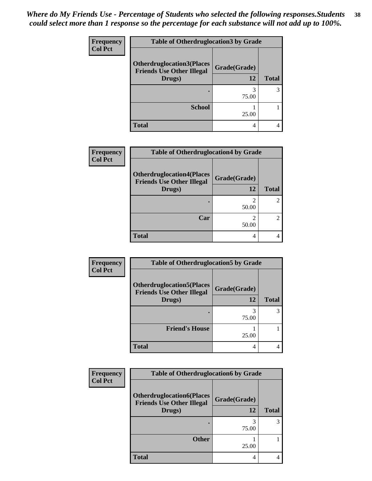| <b>Frequency</b> | <b>Table of Otherdruglocation3 by Grade</b>                                    |                    |              |
|------------------|--------------------------------------------------------------------------------|--------------------|--------------|
| <b>Col Pct</b>   | <b>Otherdruglocation3(Places</b><br><b>Friends Use Other Illegal</b><br>Drugs) | Grade(Grade)<br>12 | <b>Total</b> |
|                  |                                                                                | 75.00              | 3            |
|                  | <b>School</b>                                                                  | 25.00              |              |
|                  | <b>Total</b>                                                                   | 4                  |              |

| Frequency      | <b>Table of Otherdruglocation4 by Grade</b>                                    |                    |              |
|----------------|--------------------------------------------------------------------------------|--------------------|--------------|
| <b>Col Pct</b> | <b>Otherdruglocation4(Places</b><br><b>Friends Use Other Illegal</b><br>Drugs) | Grade(Grade)<br>12 | <b>Total</b> |
|                |                                                                                | 2<br>50.00         |              |
|                | Car                                                                            | 50.00              |              |
|                | <b>Total</b>                                                                   | 4                  |              |

| Frequency      | <b>Table of Otherdruglocation5 by Grade</b>                                    |                    |              |
|----------------|--------------------------------------------------------------------------------|--------------------|--------------|
| <b>Col Pct</b> | <b>Otherdruglocation5(Places</b><br><b>Friends Use Other Illegal</b><br>Drugs) | Grade(Grade)<br>12 | <b>Total</b> |
|                |                                                                                | 75.00              | 3            |
|                | <b>Friend's House</b>                                                          | 25.00              |              |
|                | <b>Total</b>                                                                   |                    |              |

| <b>Frequency</b> | <b>Table of Otherdruglocation6 by Grade</b>                                    |                    |              |
|------------------|--------------------------------------------------------------------------------|--------------------|--------------|
| <b>Col Pct</b>   | <b>Otherdruglocation6(Places</b><br><b>Friends Use Other Illegal</b><br>Drugs) | Grade(Grade)<br>12 | <b>Total</b> |
|                  |                                                                                | 75.00              | 3            |
|                  | <b>Other</b>                                                                   | 25.00              |              |
|                  | <b>Total</b>                                                                   | 4                  |              |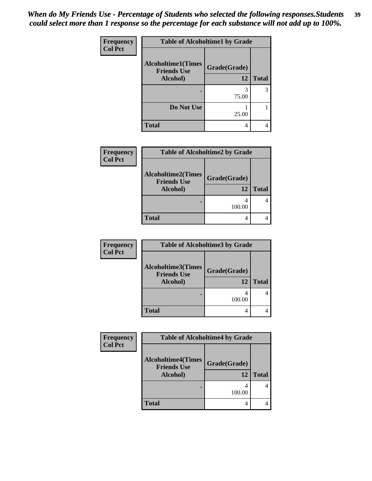| Frequency      | <b>Table of Alcoholtime1 by Grade</b>           |              |              |
|----------------|-------------------------------------------------|--------------|--------------|
| <b>Col Pct</b> | <b>Alcoholtime1(Times</b><br><b>Friends Use</b> | Grade(Grade) |              |
|                | Alcohol)                                        | 12           | <b>Total</b> |
|                |                                                 | 3<br>75.00   | 3            |
|                | Do Not Use                                      | 25.00        |              |
|                | <b>Total</b>                                    | 4            |              |

| <b>Frequency</b> | <b>Table of Alcoholtime2 by Grade</b>                       |                    |              |
|------------------|-------------------------------------------------------------|--------------------|--------------|
| <b>Col Pct</b>   | <b>Alcoholtime2(Times</b><br><b>Friends Use</b><br>Alcohol) | Grade(Grade)<br>12 | <b>Total</b> |
|                  |                                                             | 100.00             |              |
|                  | <b>Total</b>                                                | 4                  |              |

| <b>Frequency</b> | <b>Table of Alcoholtime3 by Grade</b>                       |                    |              |
|------------------|-------------------------------------------------------------|--------------------|--------------|
| <b>Col Pct</b>   | <b>Alcoholtime3(Times</b><br><b>Friends Use</b><br>Alcohol) | Grade(Grade)<br>12 | <b>Total</b> |
|                  |                                                             | 100.00             |              |
|                  | <b>Total</b>                                                | 4                  |              |

| <b>Frequency</b> | <b>Table of Alcoholtime4 by Grade</b>           |                    |              |
|------------------|-------------------------------------------------|--------------------|--------------|
| <b>Col Pct</b>   | <b>Alcoholtime4(Times</b><br><b>Friends Use</b> | Grade(Grade)<br>12 | <b>Total</b> |
|                  | Alcohol)                                        |                    |              |
|                  |                                                 | 100.00             |              |
|                  | <b>Total</b>                                    | 4                  |              |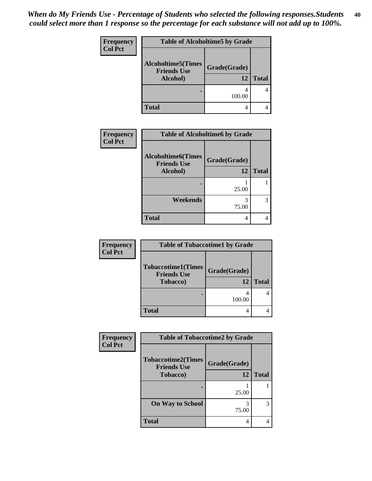| <b>Frequency</b> | <b>Table of Alcoholtime5 by Grade</b>                       |                    |              |
|------------------|-------------------------------------------------------------|--------------------|--------------|
| <b>Col Pct</b>   | <b>Alcoholtime5(Times</b><br><b>Friends Use</b><br>Alcohol) | Grade(Grade)<br>12 | <b>Total</b> |
|                  |                                                             | 100.00             |              |
|                  | <b>Total</b>                                                |                    |              |

| Frequency      | <b>Table of Alcoholtime6 by Grade</b>            |              |              |
|----------------|--------------------------------------------------|--------------|--------------|
| <b>Col Pct</b> | <b>Alcoholtime6</b> (Times<br><b>Friends Use</b> | Grade(Grade) |              |
|                | Alcohol)                                         | 12           | <b>Total</b> |
|                |                                                  |              |              |
|                |                                                  | 25.00        |              |
|                | Weekends                                         | 75.00        | 3            |
|                | <b>Total</b>                                     | 4            |              |

| <b>Frequency</b> | <b>Table of Tobaccotime1 by Grade</b>                               |                    |              |
|------------------|---------------------------------------------------------------------|--------------------|--------------|
| <b>Col Pct</b>   | <b>Tobaccotime1(Times</b><br><b>Friends Use</b><br><b>Tobacco</b> ) | Grade(Grade)<br>12 | <b>Total</b> |
|                  |                                                                     | 100.00             |              |
|                  | <b>Total</b>                                                        | 4                  |              |

| Frequency      | <b>Table of Tobaccotime2 by Grade</b>                               |                    |              |
|----------------|---------------------------------------------------------------------|--------------------|--------------|
| <b>Col Pct</b> | <b>Tobaccotime2(Times</b><br><b>Friends Use</b><br><b>Tobacco</b> ) | Grade(Grade)<br>12 | <b>Total</b> |
|                |                                                                     | 25.00              |              |
|                | <b>On Way to School</b>                                             | 75.00              | 3            |
|                | <b>Total</b>                                                        | 4                  |              |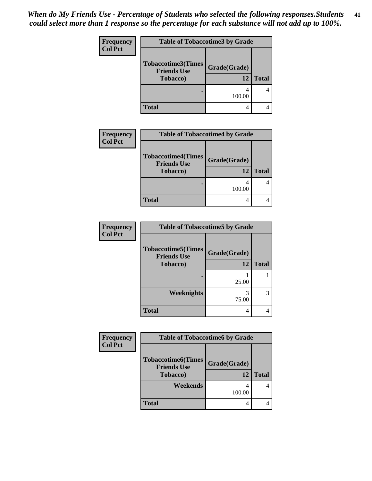| Frequency      | <b>Table of Tobaccotime3 by Grade</b>                               |                    |              |
|----------------|---------------------------------------------------------------------|--------------------|--------------|
| <b>Col Pct</b> | <b>Tobaccotime3(Times</b><br><b>Friends Use</b><br><b>Tobacco</b> ) | Grade(Grade)<br>12 | <b>Total</b> |
|                |                                                                     | 100.00             |              |
|                | <b>Total</b>                                                        | 4                  |              |

| <b>Frequency</b> | <b>Table of Tobaccotime4 by Grade</b>                               |                    |              |
|------------------|---------------------------------------------------------------------|--------------------|--------------|
| <b>Col Pct</b>   | <b>Tobaccotime4(Times</b><br><b>Friends Use</b><br><b>Tobacco</b> ) | Grade(Grade)<br>12 | <b>Total</b> |
|                  |                                                                     | 100.00             |              |
|                  | <b>Total</b>                                                        | 4                  |              |

| <b>Frequency</b> | <b>Table of Tobaccotime5 by Grade</b>           |              |              |
|------------------|-------------------------------------------------|--------------|--------------|
| <b>Col Pct</b>   | <b>Tobaccotime5(Times</b><br><b>Friends Use</b> | Grade(Grade) |              |
|                  | <b>Tobacco</b> )                                | 12           | <b>Total</b> |
|                  |                                                 | 25.00        |              |
|                  | <b>Weeknights</b>                               | 3<br>75.00   | 3            |
|                  | <b>Total</b>                                    | 4            | 4            |

| <b>Frequency</b> | <b>Table of Tobaccotime6 by Grade</b>  |              |              |
|------------------|----------------------------------------|--------------|--------------|
| <b>Col Pct</b>   | <b>Tobaccotime6(Times</b>              | Grade(Grade) |              |
|                  | <b>Friends Use</b><br><b>Tobacco</b> ) |              |              |
|                  |                                        | 12           | <b>Total</b> |
|                  | Weekends                               |              |              |
|                  |                                        | 100.00       |              |
|                  | <b>Total</b>                           | 4            |              |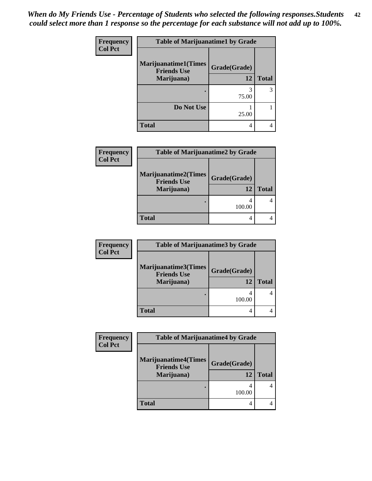| Frequency      | <b>Table of Marijuanatime1 by Grade</b>            |              |              |
|----------------|----------------------------------------------------|--------------|--------------|
| <b>Col Pct</b> | <b>Marijuanatime1</b> (Times<br><b>Friends Use</b> | Grade(Grade) |              |
|                | Marijuana)                                         | 12           | <b>Total</b> |
|                |                                                    | 3<br>75.00   | 3            |
|                | Do Not Use                                         | 25.00        |              |
|                | <b>Total</b>                                       | 4            |              |

| <b>Frequency</b> | <b>Table of Marijuanatime2 by Grade</b>                         |                    |              |
|------------------|-----------------------------------------------------------------|--------------------|--------------|
| <b>Col Pct</b>   | <b>Marijuanatime2(Times</b><br><b>Friends Use</b><br>Marijuana) | Grade(Grade)<br>12 | <b>Total</b> |
|                  |                                                                 | 100.00             |              |
|                  | <b>Total</b>                                                    | 4                  |              |

| <b>Frequency</b> | <b>Table of Marijuanatime3 by Grade</b>                  |                    |              |
|------------------|----------------------------------------------------------|--------------------|--------------|
| <b>Col Pct</b>   | Marijuanatime3(Times<br><b>Friends Use</b><br>Marijuana) | Grade(Grade)<br>12 | <b>Total</b> |
|                  |                                                          | 4<br>100.00        |              |
|                  | <b>Total</b>                                             | 4                  |              |

| Frequency      | <b>Table of Marijuanatime4 by Grade</b>           |              |              |
|----------------|---------------------------------------------------|--------------|--------------|
| <b>Col Pct</b> | <b>Marijuanatime4(Times</b><br><b>Friends Use</b> | Grade(Grade) |              |
|                | Marijuana)                                        | 12           | <b>Total</b> |
|                |                                                   | 100.00       |              |
|                | <b>Total</b>                                      | 4            |              |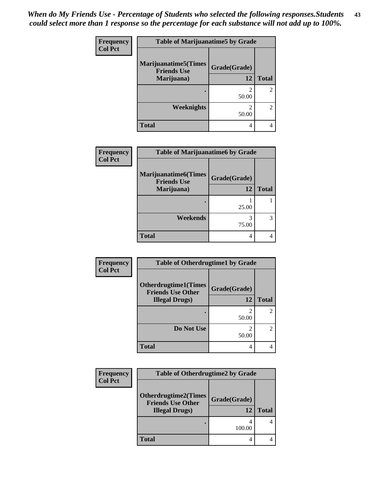| Frequency      | <b>Table of Marijuanatime5 by Grade</b>            |                         |                |  |
|----------------|----------------------------------------------------|-------------------------|----------------|--|
| <b>Col Pct</b> | <b>Marijuanatime5</b> (Times<br><b>Friends Use</b> | Grade(Grade)            |                |  |
|                | Marijuana)                                         | 12                      | <b>Total</b>   |  |
|                |                                                    | $\mathfrak{D}$<br>50.00 |                |  |
|                | Weeknights                                         | $\mathfrak{D}$<br>50.00 | $\mathfrak{D}$ |  |
|                | <b>Total</b>                                       | 4                       |                |  |

| <b>Frequency</b> | <b>Table of Marijuanatime6 by Grade</b>                          |                    |              |
|------------------|------------------------------------------------------------------|--------------------|--------------|
| <b>Col Pct</b>   | <b>Marijuanatime6</b> (Times<br><b>Friends Use</b><br>Marijuana) | Grade(Grade)<br>12 | <b>Total</b> |
|                  |                                                                  | 25.00              |              |
|                  | Weekends                                                         | 75.00              | 3            |
|                  | <b>Total</b>                                                     | 4                  |              |

| Frequency      | <b>Table of Otherdrugtime1 by Grade</b>                 |              |              |  |
|----------------|---------------------------------------------------------|--------------|--------------|--|
| <b>Col Pct</b> | <b>Otherdrugtime1(Times</b><br><b>Friends Use Other</b> | Grade(Grade) |              |  |
|                | <b>Illegal Drugs</b> )                                  | 12           | <b>Total</b> |  |
|                |                                                         | 2<br>50.00   |              |  |
|                | Do Not Use                                              | 2<br>50.00   | 2            |  |
|                | Total                                                   | 4            |              |  |

| <b>Frequency</b> | <b>Table of Otherdrugtime2 by Grade</b>                                           |                    |              |
|------------------|-----------------------------------------------------------------------------------|--------------------|--------------|
| <b>Col Pct</b>   | <b>Otherdrugtime2(Times</b><br><b>Friends Use Other</b><br><b>Illegal Drugs</b> ) | Grade(Grade)<br>12 | <b>Total</b> |
|                  |                                                                                   | 100.00             |              |
|                  | <b>Total</b>                                                                      | 4                  |              |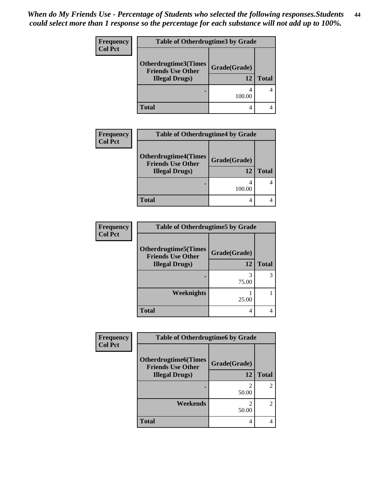| Frequency<br><b>Col Pct</b> | <b>Table of Otherdrugtime3 by Grade</b>                 |              |              |
|-----------------------------|---------------------------------------------------------|--------------|--------------|
|                             | <b>Otherdrugtime3(Times</b><br><b>Friends Use Other</b> | Grade(Grade) |              |
|                             | <b>Illegal Drugs</b> )                                  | 12           | <b>Total</b> |
|                             |                                                         | 100.00       |              |
|                             | Total                                                   | 4            |              |

| <b>Frequency</b> | <b>Table of Otherdrugtime4 by Grade</b>                                           |                    |              |
|------------------|-----------------------------------------------------------------------------------|--------------------|--------------|
| <b>Col Pct</b>   | <b>Otherdrugtime4(Times</b><br><b>Friends Use Other</b><br><b>Illegal Drugs</b> ) | Grade(Grade)<br>12 | <b>Total</b> |
|                  |                                                                                   | 4<br>100.00        |              |
|                  | Total                                                                             | 4                  |              |

| <b>Frequency</b> | <b>Table of Otherdrugtime5 by Grade</b>                                           |                    |              |
|------------------|-----------------------------------------------------------------------------------|--------------------|--------------|
| <b>Col Pct</b>   | <b>Otherdrugtime5</b> (Times<br><b>Friends Use Other</b><br><b>Illegal Drugs)</b> | Grade(Grade)<br>12 | <b>Total</b> |
|                  |                                                                                   | 75.00              | 3            |
|                  | Weeknights                                                                        | 25.00              |              |
|                  | <b>Total</b>                                                                      | 4                  | 4            |

| Frequency      | <b>Table of Otherdrugtime6 by Grade</b>                                          |                    |                             |
|----------------|----------------------------------------------------------------------------------|--------------------|-----------------------------|
| <b>Col Pct</b> | <b>Otherdrugtime6(Times</b><br><b>Friends Use Other</b><br><b>Illegal Drugs)</b> | Grade(Grade)<br>12 | <b>Total</b>                |
|                |                                                                                  | 50.00              | 2                           |
|                | Weekends                                                                         | 2<br>50.00         | $\mathcal{D}_{\mathcal{A}}$ |
|                | <b>Total</b>                                                                     | 4                  |                             |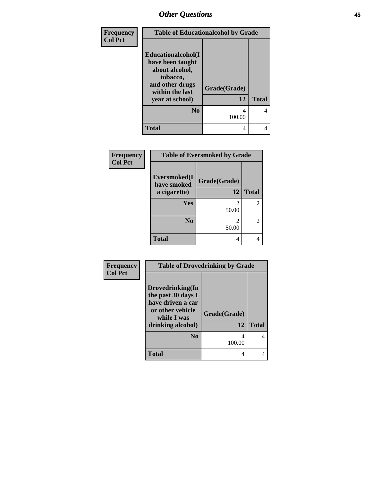| Frequency      | <b>Table of Educationalcohol by Grade</b>                                                                  |              |              |
|----------------|------------------------------------------------------------------------------------------------------------|--------------|--------------|
| <b>Col Pct</b> | Educationalcohol(I<br>have been taught<br>about alcohol,<br>tobacco,<br>and other drugs<br>within the last | Grade(Grade) |              |
|                | year at school)                                                                                            | 12           | <b>Total</b> |
|                | $\bf No$                                                                                                   | 4<br>100.00  | 4            |
|                | <b>Total</b>                                                                                               | 4            |              |

| Frequency      | <b>Table of Eversmoked by Grade</b> |              |                |
|----------------|-------------------------------------|--------------|----------------|
| <b>Col Pct</b> | Eversmoked(I<br>have smoked         | Grade(Grade) |                |
|                | a cigarette)                        | 12           | <b>Total</b>   |
|                | <b>Yes</b>                          | 2<br>50.00   | $\overline{2}$ |
|                | N <sub>0</sub>                      | 2<br>50.00   | $\overline{2}$ |
|                | <b>Total</b>                        | 4            |                |

| Frequency      | <b>Table of Drovedrinking by Grade</b>                                                                              |                    |              |
|----------------|---------------------------------------------------------------------------------------------------------------------|--------------------|--------------|
| <b>Col Pct</b> | Drovedrinking(In<br>the past 30 days I<br>have driven a car<br>or other vehicle<br>while I was<br>drinking alcohol) | Grade(Grade)<br>12 | <b>Total</b> |
|                | N <sub>0</sub>                                                                                                      | 100.00             | 4            |
|                | <b>Total</b>                                                                                                        | 4                  |              |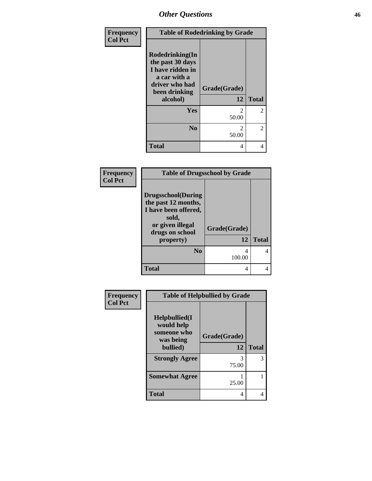| Frequency      | <b>Table of Rodedrinking by Grade</b>                                                                                  |                         |                |
|----------------|------------------------------------------------------------------------------------------------------------------------|-------------------------|----------------|
| <b>Col Pct</b> | Rodedrinking(In<br>the past 30 days<br>I have ridden in<br>a car with a<br>driver who had<br>been drinking<br>alcohol) | Grade(Grade)<br>12      | <b>Total</b>   |
|                | Yes                                                                                                                    | $\mathfrak{D}$<br>50.00 | $\overline{2}$ |
|                | N <sub>0</sub>                                                                                                         | $\mathfrak{D}$<br>50.00 | $\overline{2}$ |
|                | <b>Total</b>                                                                                                           | 4                       | 4              |

### **Frequency Col Pct**

| <b>Table of Drugsschool by Grade</b>                                                                                      |              |              |  |  |  |
|---------------------------------------------------------------------------------------------------------------------------|--------------|--------------|--|--|--|
| <b>Drugsschool</b> (During<br>the past 12 months,<br>I have been offered,<br>sold,<br>or given illegal<br>drugs on school | Grade(Grade) |              |  |  |  |
| property)                                                                                                                 | 12           | <b>Total</b> |  |  |  |
| N <sub>0</sub>                                                                                                            |              |              |  |  |  |
|                                                                                                                           | 100.00       |              |  |  |  |

| Frequency      | <b>Table of Helpbullied by Grade</b>                                      |                    |              |  |
|----------------|---------------------------------------------------------------------------|--------------------|--------------|--|
| <b>Col Pct</b> | $Helpb$ ullied $(I$<br>would help<br>someone who<br>was being<br>bullied) | Grade(Grade)<br>12 | <b>Total</b> |  |
|                |                                                                           |                    |              |  |
|                | <b>Strongly Agree</b>                                                     | 3<br>75.00         | 3            |  |
|                | <b>Somewhat Agree</b>                                                     | 25.00              |              |  |
|                | <b>Total</b>                                                              | 4                  |              |  |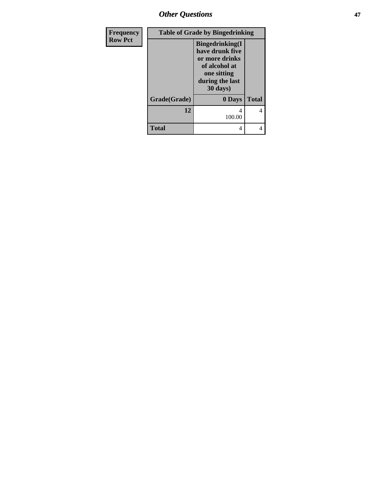*Other Questions* **47**

| Frequency      | <b>Table of Grade by Bingedrinking</b> |                                                                                                                             |              |  |
|----------------|----------------------------------------|-----------------------------------------------------------------------------------------------------------------------------|--------------|--|
| <b>Row Pct</b> |                                        | <b>Bingedrinking</b> (I<br>have drunk five<br>or more drinks<br>of alcohol at<br>one sitting<br>during the last<br>30 days) |              |  |
|                | Grade(Grade)                           | 0 Days                                                                                                                      | <b>Total</b> |  |
|                | 12                                     | 4<br>100.00                                                                                                                 | 4            |  |
|                | <b>Total</b>                           | 4                                                                                                                           |              |  |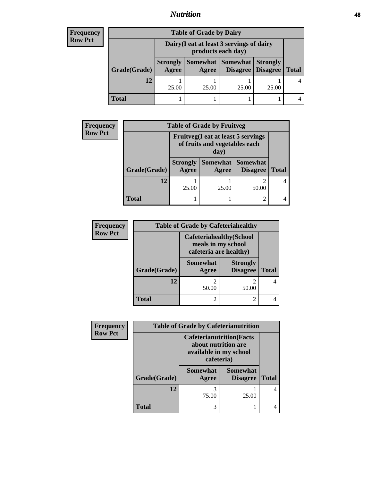## *Nutrition* **48**

### **Frequency Row Pct**

| <b>Table of Grade by Dairy</b> |                          |                                                                 |                                   |                                    |              |  |
|--------------------------------|--------------------------|-----------------------------------------------------------------|-----------------------------------|------------------------------------|--------------|--|
|                                |                          | Dairy (I eat at least 3 servings of dairy<br>products each day) |                                   |                                    |              |  |
| Grade(Grade)                   | <b>Strongly</b><br>Agree | Agree                                                           | Somewhat   Somewhat  <br>Disagree | <b>Strongly</b><br><b>Disagree</b> | <b>Total</b> |  |
| 12                             | 25.00                    | 25.00                                                           | 25.00                             | 25.00                              |              |  |
| Total                          |                          |                                                                 |                                   |                                    |              |  |

| <b>Frequency</b>                                                                                      | <b>Table of Grade by Fruitveg</b> |                          |                   |                                    |              |
|-------------------------------------------------------------------------------------------------------|-----------------------------------|--------------------------|-------------------|------------------------------------|--------------|
| <b>Row Pct</b><br><b>Fruitveg</b> (I eat at least 5 servings<br>of fruits and vegetables each<br>day) |                                   |                          |                   |                                    |              |
|                                                                                                       | Grade(Grade)                      | <b>Strongly</b><br>Agree | Somewhat<br>Agree | <b>Somewhat</b><br><b>Disagree</b> | <b>Total</b> |
|                                                                                                       | 12                                | 25.00                    | 25.00             | 2<br>50.00                         |              |
|                                                                                                       | <b>Total</b>                      |                          |                   | $\overline{2}$                     |              |

| Frequency      | <b>Table of Grade by Cafeteriahealthy</b> |                                                                                 |                                    |              |  |
|----------------|-------------------------------------------|---------------------------------------------------------------------------------|------------------------------------|--------------|--|
| <b>Row Pct</b> |                                           | <b>Cafeteriahealthy</b> (School<br>meals in my school<br>cafeteria are healthy) |                                    |              |  |
|                | Grade(Grade)                              | <b>Somewhat</b><br>Agree                                                        | <b>Strongly</b><br><b>Disagree</b> | <b>Total</b> |  |
|                | 12                                        | 50.00                                                                           | 50.00                              |              |  |
|                | <b>Total</b>                              | 2                                                                               |                                    |              |  |

| Frequency      |              | <b>Table of Grade by Cafeterianutrition</b>                                                     |                                    |              |  |  |
|----------------|--------------|-------------------------------------------------------------------------------------------------|------------------------------------|--------------|--|--|
| <b>Row Pct</b> |              | <b>Cafeterianutrition</b> (Facts<br>about nutrition are<br>available in my school<br>cafeteria) |                                    |              |  |  |
|                | Grade(Grade) | <b>Somewhat</b><br>Agree                                                                        | <b>Somewhat</b><br><b>Disagree</b> | <b>Total</b> |  |  |
|                | 12           | 3<br>75.00                                                                                      | 25.00                              | 4            |  |  |
|                | <b>Total</b> | 3                                                                                               |                                    |              |  |  |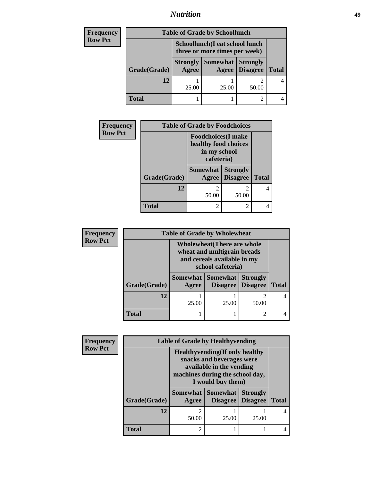## *Nutrition* **49**

| <b>Frequency</b> | <b>Table of Grade by Schoollunch</b> |                                                                 |                     |                                    |              |
|------------------|--------------------------------------|-----------------------------------------------------------------|---------------------|------------------------------------|--------------|
| <b>Row Pct</b>   |                                      | Schoollunch(I eat school lunch<br>three or more times per week) |                     |                                    |              |
|                  | Grade(Grade)                         | <b>Strongly</b><br>Agree                                        | Somewhat  <br>Agree | <b>Strongly</b><br><b>Disagree</b> | <b>Total</b> |
|                  | 12                                   | 25.00                                                           | 25.00               | 50.00                              |              |
|                  | Total                                |                                                                 |                     |                                    |              |

| <b>Frequency</b> | <b>Table of Grade by Foodchoices</b> |                                                                                  |                                    |              |
|------------------|--------------------------------------|----------------------------------------------------------------------------------|------------------------------------|--------------|
| <b>Row Pct</b>   |                                      | <b>Foodchoices</b> (I make<br>healthy food choices<br>in my school<br>cafeteria) |                                    |              |
|                  | Grade(Grade)                         | <b>Somewhat</b><br>Agree                                                         | <b>Strongly</b><br><b>Disagree</b> | <b>Total</b> |
|                  | 12                                   | $\mathfrak{D}$<br>50.00                                                          | 2<br>50.00                         |              |
|                  | <b>Total</b>                         | $\overline{c}$                                                                   | 2                                  |              |

| <b>Frequency</b> | <b>Table of Grade by Wholewheat</b>                                                                                   |       |                                               |                                    |              |
|------------------|-----------------------------------------------------------------------------------------------------------------------|-------|-----------------------------------------------|------------------------------------|--------------|
| <b>Row Pct</b>   | <b>Wholewheat</b> (There are whole<br>wheat and multigrain breads<br>and cereals available in my<br>school cafeteria) |       |                                               |                                    |              |
|                  | Grade(Grade)                                                                                                          | Agree | <b>Somewhat   Somewhat</b><br><b>Disagree</b> | <b>Strongly</b><br><b>Disagree</b> | <b>Total</b> |
|                  | 12                                                                                                                    | 25.00 | 25.00                                         | 2<br>50.00                         |              |
|                  | <b>Total</b>                                                                                                          |       |                                               | $\mathfrak{D}$                     |              |

| Frequency      |              | <b>Table of Grade by Healthyvending</b>                                                                                                                 |                                    |                                    |              |
|----------------|--------------|---------------------------------------------------------------------------------------------------------------------------------------------------------|------------------------------------|------------------------------------|--------------|
| <b>Row Pct</b> |              | <b>Healthyvending</b> (If only healthy<br>snacks and beverages were<br>available in the vending<br>machines during the school day,<br>I would buy them) |                                    |                                    |              |
|                | Grade(Grade) | <b>Somewhat</b><br>Agree                                                                                                                                | <b>Somewhat</b><br><b>Disagree</b> | <b>Strongly</b><br><b>Disagree</b> | <b>Total</b> |
|                | 12           | $\mathfrak{D}$<br>50.00                                                                                                                                 | 25.00                              | 25.00                              |              |
|                | <b>Total</b> | 2                                                                                                                                                       |                                    |                                    |              |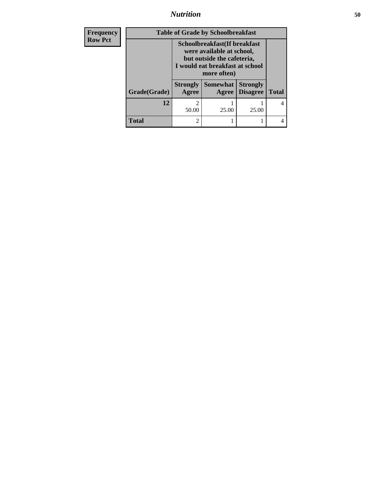*Nutrition* **50**

| <b>Frequency</b> | <b>Table of Grade by Schoolbreakfast</b> |                                                                                                                                           |                   |                                    |              |
|------------------|------------------------------------------|-------------------------------------------------------------------------------------------------------------------------------------------|-------------------|------------------------------------|--------------|
| <b>Row Pct</b>   |                                          | Schoolbreakfast(If breakfast<br>were available at school,<br>but outside the cafeteria,<br>I would eat breakfast at school<br>more often) |                   |                                    |              |
|                  | Grade(Grade)                             | <b>Strongly</b><br>Agree                                                                                                                  | Somewhat<br>Agree | <b>Strongly</b><br><b>Disagree</b> | <b>Total</b> |
|                  | 12                                       | っ<br>50.00                                                                                                                                | 25.00             | 25.00                              | 4            |
|                  | <b>Total</b>                             | 2                                                                                                                                         |                   |                                    | 4            |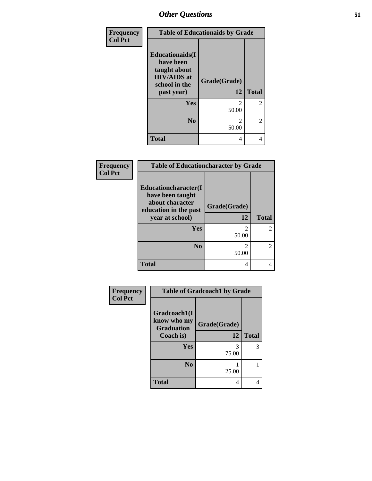| Frequency      | <b>Table of Educationaids by Grade</b>                                                                    |                         |                |
|----------------|-----------------------------------------------------------------------------------------------------------|-------------------------|----------------|
| <b>Col Pct</b> | <b>Educationaids</b> (I<br>have been<br>taught about<br><b>HIV/AIDS</b> at<br>school in the<br>past year) | Grade(Grade)<br>12      | <b>Total</b>   |
|                | Yes                                                                                                       | 2<br>50.00              | $\overline{2}$ |
|                | N <sub>0</sub>                                                                                            | $\mathfrak{D}$<br>50.00 | $\overline{2}$ |
|                | <b>Total</b>                                                                                              | 4                       | 4              |

| Frequency<br><b>Col Pct</b> | <b>Table of Educationcharacter by Grade</b>                                                             |                                                                                                                                                                          |                |
|-----------------------------|---------------------------------------------------------------------------------------------------------|--------------------------------------------------------------------------------------------------------------------------------------------------------------------------|----------------|
|                             | Educationcharacter(I<br>have been taught<br>about character<br>education in the past<br>year at school) | Grade(Grade)<br>12                                                                                                                                                       | <b>Total</b>   |
|                             | Yes                                                                                                     | 2<br>50.00                                                                                                                                                               | $\mathfrak{D}$ |
|                             | N <sub>0</sub>                                                                                          | $\mathcal{D}_{\mathcal{A}}^{\mathcal{A}}(\mathcal{A})=\mathcal{D}_{\mathcal{A}}^{\mathcal{A}}(\mathcal{A})\mathcal{D}_{\mathcal{A}}^{\mathcal{A}}(\mathcal{A})$<br>50.00 | $\mathfrak{D}$ |
|                             | <b>Total</b>                                                                                            | 4                                                                                                                                                                        | 4              |

| Frequency      | <b>Table of Gradcoach1 by Grade</b> |              |              |
|----------------|-------------------------------------|--------------|--------------|
| <b>Col Pct</b> | Gradcoach1(I                        |              |              |
|                | know who my<br><b>Graduation</b>    | Grade(Grade) |              |
|                | Coach is)                           | 12           | <b>Total</b> |
|                | Yes                                 | 3<br>75.00   | 3            |
|                | N <sub>0</sub>                      | 25.00        |              |
|                | <b>Total</b>                        | 4            | 4            |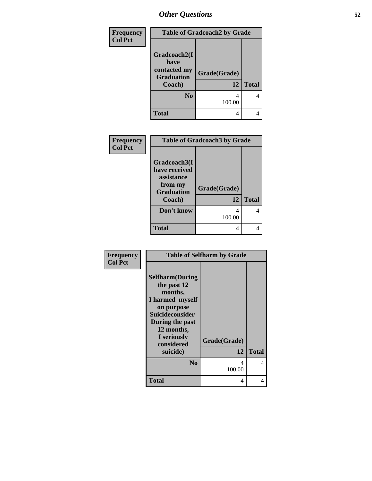| Frequency      | <b>Table of Gradcoach2 by Grade</b> |              |              |
|----------------|-------------------------------------|--------------|--------------|
| <b>Col Pct</b> | Gradcoach2(I<br>have                |              |              |
|                | contacted my<br><b>Graduation</b>   | Grade(Grade) |              |
|                | Coach)                              | 12           | <b>Total</b> |
|                | N <sub>0</sub>                      | 4            |              |
|                |                                     | 100.00       |              |
|                | <b>Total</b>                        | 4            |              |

| Frequency      | <b>Table of Gradcoach3 by Grade</b> |              |              |
|----------------|-------------------------------------|--------------|--------------|
| <b>Col Pct</b> |                                     |              |              |
|                | Gradcoach3(I                        |              |              |
|                | have received<br>assistance         |              |              |
|                | from my<br><b>Graduation</b>        | Grade(Grade) |              |
|                | Coach)                              | 12           | <b>Total</b> |
|                | Don't know                          | 4            |              |
|                |                                     | 100.00       |              |
|                | <b>Total</b>                        | 4            |              |
|                |                                     |              |              |

| Frequency      | <b>Table of Selfharm by Grade</b>                                                                                                                                   |              |              |
|----------------|---------------------------------------------------------------------------------------------------------------------------------------------------------------------|--------------|--------------|
| <b>Col Pct</b> | <b>Selfharm</b> (During<br>the past 12<br>months,<br>I harmed myself<br>on purpose<br>Suicideconsider<br>During the past<br>12 months,<br>I seriously<br>considered | Grade(Grade) |              |
|                | suicide)                                                                                                                                                            | 12           | <b>Total</b> |
|                | N <sub>0</sub>                                                                                                                                                      | 4<br>100.00  | 4            |
|                | <b>Total</b>                                                                                                                                                        | 4            | 4            |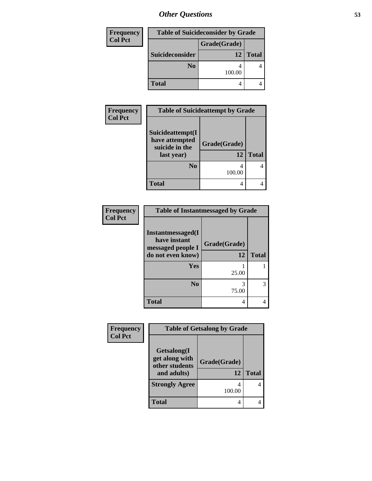| <b>Table of Suicideconsider by Grade</b><br>Frequency |                 |              |              |
|-------------------------------------------------------|-----------------|--------------|--------------|
| <b>Col Pct</b>                                        |                 | Grade(Grade) |              |
|                                                       | Suicideconsider | 12           | <b>Total</b> |
|                                                       | N <sub>0</sub>  | 100.00       |              |
|                                                       | <b>Total</b>    |              |              |

| <b>Frequency</b> | <b>Table of Suicideattempt by Grade</b>                            |                    |              |
|------------------|--------------------------------------------------------------------|--------------------|--------------|
| <b>Col Pct</b>   | Suicideattempt(I<br>have attempted<br>suicide in the<br>last year) | Grade(Grade)<br>12 | <b>Total</b> |
|                  | N <sub>0</sub>                                                     | 100.00             |              |
|                  | <b>Total</b>                                                       |                    |              |

| Frequency      | <b>Table of Instantmessaged by Grade</b>                                            |                    |              |
|----------------|-------------------------------------------------------------------------------------|--------------------|--------------|
| <b>Col Pct</b> | <b>Instantmessaged</b> (I<br>have instant<br>messaged people I<br>do not even know) | Grade(Grade)<br>12 | <b>Total</b> |
|                | Yes                                                                                 | 25.00              |              |
|                | N <sub>0</sub>                                                                      | 75.00              | 3            |
|                | <b>Total</b>                                                                        | 4                  |              |

| Frequency      | <b>Table of Getsalong by Grade</b>                             |                    |              |
|----------------|----------------------------------------------------------------|--------------------|--------------|
| <b>Col Pct</b> | Getsalong(I<br>get along with<br>other students<br>and adults) | Grade(Grade)<br>12 | <b>Total</b> |
|                | <b>Strongly Agree</b>                                          | 100.00             |              |
|                | <b>Total</b>                                                   |                    |              |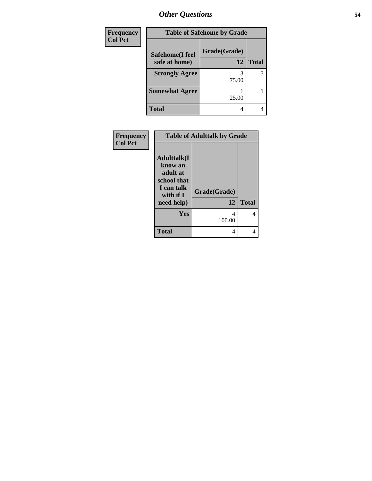| Frequency      | <b>Table of Safehome by Grade</b> |                    |              |
|----------------|-----------------------------------|--------------------|--------------|
| <b>Col Pct</b> | Safehome(I feel<br>safe at home)  | Grade(Grade)<br>12 | <b>Total</b> |
|                | <b>Strongly Agree</b>             | 3<br>75.00         | 3            |
|                | <b>Somewhat Agree</b>             | 25.00              |              |
|                | <b>Total</b>                      | 4                  |              |

| Frequency      |                                                                                                    | <b>Table of Adulttalk by Grade</b> |              |
|----------------|----------------------------------------------------------------------------------------------------|------------------------------------|--------------|
| <b>Col Pct</b> | <b>Adulttalk</b> (I<br>know an<br>adult at<br>school that<br>I can talk<br>with if I<br>need help) | Grade(Grade)<br>12                 | <b>Total</b> |
|                | <b>Yes</b>                                                                                         | 4<br>100.00                        | 4            |
|                | <b>Total</b>                                                                                       | 4                                  | 4            |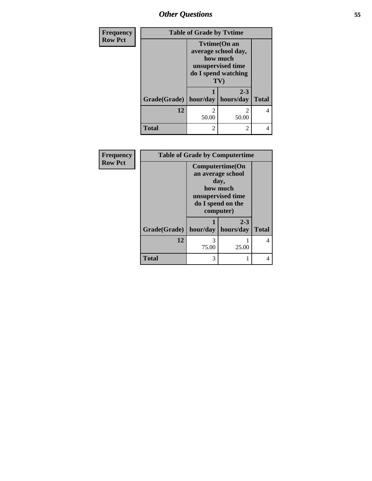| Frequency      | <b>Table of Grade by Tvtime</b> |                                                                                                          |                      |              |
|----------------|---------------------------------|----------------------------------------------------------------------------------------------------------|----------------------|--------------|
| <b>Row Pct</b> |                                 | <b>Tytime(On an</b><br>average school day,<br>how much<br>unsupervised time<br>do I spend watching<br>TV |                      |              |
|                | Grade(Grade)   hour/day         |                                                                                                          | $2 - 3$<br>hours/day | <b>Total</b> |
|                | 12                              | $\mathfrak{D}$<br>50.00                                                                                  | 2<br>50.00           | 4            |
|                | <b>Total</b>                    | $\mathfrak{D}$                                                                                           | 2                    | 4            |

| Frequency      | <b>Table of Grade by Computertime</b> |                                                                                                                 |         |              |
|----------------|---------------------------------------|-----------------------------------------------------------------------------------------------------------------|---------|--------------|
| <b>Row Pct</b> |                                       | Computertime(On<br>an average school<br>day,<br>how much<br>unsupervised time<br>do I spend on the<br>computer) |         |              |
|                | Grade(Grade)   hour/day   hours/day   |                                                                                                                 | $2 - 3$ | <b>Total</b> |
|                | 12                                    | 3<br>75.00                                                                                                      | 25.00   |              |
|                | <b>Total</b>                          | 3                                                                                                               | 1       |              |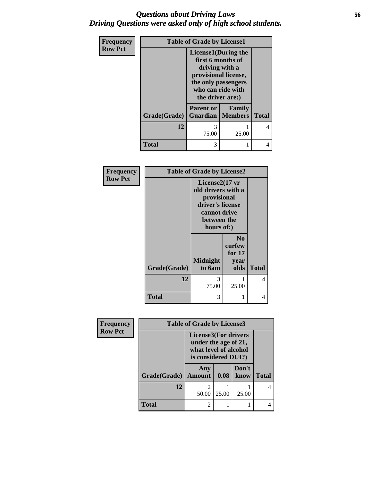## *Questions about Driving Laws* **56** *Driving Questions were asked only of high school students.*

| Frequency<br><b>Row Pct</b> | <b>Table of Grade by License1</b> |                                                                                                                                                            |        |              |
|-----------------------------|-----------------------------------|------------------------------------------------------------------------------------------------------------------------------------------------------------|--------|--------------|
|                             |                                   | <b>License1</b> (During the<br>first 6 months of<br>driving with a<br>provisional license,<br>the only passengers<br>who can ride with<br>the driver are:) |        |              |
|                             | <b>Grade(Grade)</b>               | <b>Parent or</b><br><b>Guardian</b>   Members                                                                                                              | Family | <b>Total</b> |
|                             | 12                                | 3<br>75.00                                                                                                                                                 | 25.00  | 4            |
|                             | <b>Total</b>                      | 3                                                                                                                                                          |        | 4            |

| <b>Frequency</b> |              | <b>Table of Grade by License2</b>                                                                                                |                                              |              |
|------------------|--------------|----------------------------------------------------------------------------------------------------------------------------------|----------------------------------------------|--------------|
| <b>Row Pct</b>   |              | License $2(17 \text{ yr})$<br>old drivers with a<br>provisional<br>driver's license<br>cannot drive<br>between the<br>hours of:) |                                              |              |
|                  |              | <b>Midnight</b>                                                                                                                  | N <sub>0</sub><br>curfew<br>for $17$<br>year |              |
|                  | Grade(Grade) | to 6am                                                                                                                           | olds                                         | <b>Total</b> |
|                  | 12           | 3<br>75.00                                                                                                                       | 25.00                                        | 4            |
|                  | Total        | 3                                                                                                                                |                                              | 4            |

| Frequency      | <b>Table of Grade by License3</b> |                                                                                                     |       |               |              |
|----------------|-----------------------------------|-----------------------------------------------------------------------------------------------------|-------|---------------|--------------|
| <b>Row Pct</b> |                                   | <b>License3(For drivers</b><br>under the age of 21,<br>what level of alcohol<br>is considered DUI?) |       |               |              |
|                | Grade(Grade)                      | Any<br><b>Amount</b>                                                                                | 0.08  | Don't<br>know | <b>Total</b> |
|                | 12                                | $\mathfrak{D}$<br>50.00                                                                             | 25.00 | 25.00         |              |
|                | <b>Total</b>                      | $\overline{2}$                                                                                      |       |               |              |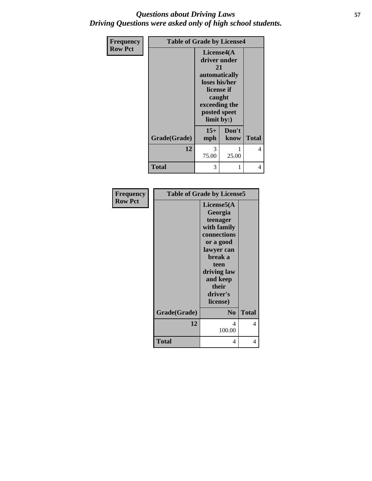## *Questions about Driving Laws* **57** *Driving Questions were asked only of high school students.*

| Frequency      | <b>Table of Grade by License4</b> |                                |               |              |
|----------------|-----------------------------------|--------------------------------|---------------|--------------|
| <b>Row Pct</b> |                                   | License4(A)<br>driver under    |               |              |
|                |                                   | 21                             |               |              |
|                |                                   | automatically<br>loses his/her |               |              |
|                |                                   | caught                         | license if    |              |
|                |                                   | exceeding the                  |               |              |
|                |                                   | posted speet<br>limit by:)     |               |              |
|                | Grade(Grade)                      | $15+$<br>mph                   | Don't<br>know | <b>Total</b> |
|                | 12                                | 3<br>75.00                     | 1<br>25.00    | 4            |
|                |                                   |                                |               |              |
|                | Total                             | 3                              | 1             | 4            |

| Frequency      |              | <b>Table of Grade by License5</b>                                                                                                                                          |              |
|----------------|--------------|----------------------------------------------------------------------------------------------------------------------------------------------------------------------------|--------------|
| <b>Row Pct</b> |              | License5(A)<br>Georgia<br>teenager<br>with family<br>connections<br>or a good<br>lawyer can<br>break a<br>teen<br>driving law<br>and keep<br>their<br>driver's<br>license) |              |
|                | Grade(Grade) | N <sub>0</sub>                                                                                                                                                             | <b>Total</b> |
|                | 12           | 4<br>100.00                                                                                                                                                                | 4            |
|                | <b>Total</b> | 4                                                                                                                                                                          | 4            |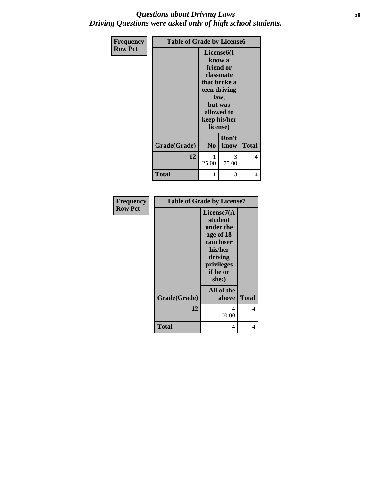## *Questions about Driving Laws* **58** *Driving Questions were asked only of high school students.*

| <b>Frequency</b> | <b>Table of Grade by License6</b> |                |                                                                                                                                                          |              |
|------------------|-----------------------------------|----------------|----------------------------------------------------------------------------------------------------------------------------------------------------------|--------------|
| <b>Row Pct</b>   |                                   |                | License <sub>6</sub> (I<br>know a<br>friend or<br>classmate<br>that broke a<br>teen driving<br>law,<br>but was<br>allowed to<br>keep his/her<br>license) |              |
|                  | Grade(Grade)                      | N <sub>0</sub> | Don't<br>know                                                                                                                                            | <b>Total</b> |
|                  | 12                                | 25.00          | 3<br>75.00                                                                                                                                               | 4            |
|                  | Total                             |                | 3                                                                                                                                                        | 4            |

| Frequency      |              | <b>Table of Grade by License7</b> |              |  |
|----------------|--------------|-----------------------------------|--------------|--|
| <b>Row Pct</b> |              | License7(A                        |              |  |
|                |              | student                           |              |  |
|                |              | under the<br>age of 18            |              |  |
|                |              | cam loser                         |              |  |
|                |              | his/her                           |              |  |
|                |              | driving                           |              |  |
|                |              | privileges                        |              |  |
|                |              | if he or<br>she:)                 |              |  |
|                |              | All of the                        |              |  |
|                | Grade(Grade) | above                             | <b>Total</b> |  |
|                | 12           | 4                                 | 4            |  |
|                |              | 100.00                            |              |  |
|                | <b>Total</b> | 4                                 | 4            |  |
|                |              |                                   |              |  |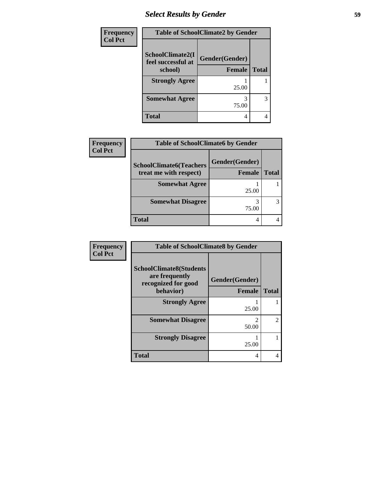## *Select Results by Gender* **59**

| <b>Frequency</b> | <b>Table of SchoolClimate2 by Gender</b>          |                                 |              |
|------------------|---------------------------------------------------|---------------------------------|--------------|
| <b>Col Pct</b>   | SchoolClimate2(I<br>feel successful at<br>school) | Gender(Gender)<br><b>Female</b> | <b>Total</b> |
|                  | <b>Strongly Agree</b>                             | 25.00                           |              |
|                  | <b>Somewhat Agree</b>                             | 75.00                           | 3            |
|                  | <b>Total</b>                                      | 4                               |              |

| Frequency      | <b>Table of SchoolClimate6 by Gender</b>                 |                                 |              |  |
|----------------|----------------------------------------------------------|---------------------------------|--------------|--|
| <b>Col Pct</b> | <b>SchoolClimate6(Teachers</b><br>treat me with respect) | Gender(Gender)<br><b>Female</b> | <b>Total</b> |  |
|                | <b>Somewhat Agree</b>                                    | 25.00                           |              |  |
|                | <b>Somewhat Disagree</b>                                 | 75.00                           |              |  |
|                | <b>Total</b>                                             | 4                               |              |  |

| Frequency      | <b>Table of SchoolClimate8 by Gender</b>                                             |                          |                |
|----------------|--------------------------------------------------------------------------------------|--------------------------|----------------|
| <b>Col Pct</b> | <b>SchoolClimate8(Students</b><br>are frequently<br>recognized for good<br>behavior) | Gender(Gender)<br>Female | <b>Total</b>   |
|                | <b>Strongly Agree</b>                                                                | 25.00                    |                |
|                | <b>Somewhat Disagree</b>                                                             | 50.00                    | $\mathfrak{D}$ |
|                | <b>Strongly Disagree</b>                                                             | 25.00                    |                |
|                | <b>Total</b>                                                                         | 4                        |                |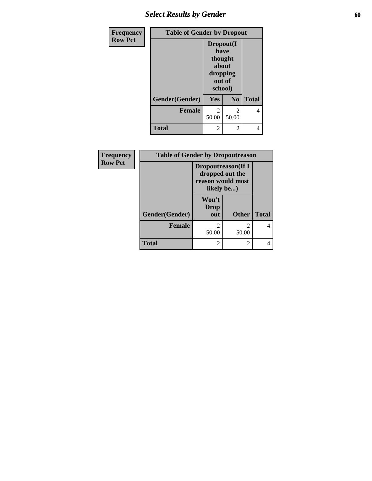## **Select Results by Gender 60**

| Frequency      | <b>Table of Gender by Dropout</b> |                                                                        |                |              |
|----------------|-----------------------------------|------------------------------------------------------------------------|----------------|--------------|
| <b>Row Pct</b> |                                   | Dropout(I<br>have<br>thought<br>about<br>dropping<br>out of<br>school) |                |              |
|                | Gender(Gender)                    | Yes                                                                    | N <sub>0</sub> | <b>Total</b> |
|                | <b>Female</b>                     | 2<br>50.00                                                             | 2<br>50.00     |              |
|                | <b>Total</b>                      | $\mathfrak{D}$                                                         | $\mathfrak{D}$ |              |

| Frequency      | <b>Table of Gender by Dropoutreason</b> |                                                                                                   |              |              |
|----------------|-----------------------------------------|---------------------------------------------------------------------------------------------------|--------------|--------------|
| <b>Row Pct</b> |                                         | <b>Dropoutreason</b> (If I<br>dropped out the<br>reason would most<br>likely be)<br>Won't<br>Drop |              |              |
|                |                                         |                                                                                                   |              |              |
|                | Gender(Gender)                          | out                                                                                               | <b>Other</b> | <b>Total</b> |
|                | <b>Female</b>                           | $\overline{2}$<br>50.00                                                                           | 2<br>50.00   | 4            |
|                | Total                                   | $\mathfrak{D}$                                                                                    | 2            |              |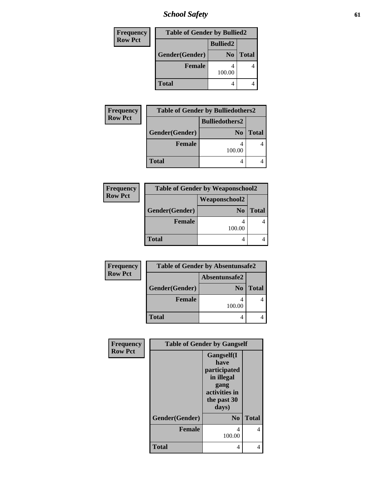*School Safety* **61**

| <b>Frequency</b> | <b>Table of Gender by Bullied2</b> |                 |              |  |
|------------------|------------------------------------|-----------------|--------------|--|
| <b>Row Pct</b>   |                                    | <b>Bullied2</b> |              |  |
|                  | Gender(Gender)                     | N <sub>0</sub>  | <b>Total</b> |  |
|                  | <b>Female</b>                      | 100.00          |              |  |
|                  | <b>Total</b>                       |                 |              |  |

| Frequency                               | <b>Table of Gender by Bulliedothers2</b> |                |              |  |  |
|-----------------------------------------|------------------------------------------|----------------|--------------|--|--|
| <b>Row Pct</b><br><b>Bulliedothers2</b> |                                          |                |              |  |  |
|                                         | Gender(Gender)                           | N <sub>0</sub> | <b>Total</b> |  |  |
|                                         | <b>Female</b>                            | 100.00         |              |  |  |
|                                         | <b>Total</b>                             |                |              |  |  |

| Frequency      | <b>Table of Gender by Weaponschool2</b> |                |              |
|----------------|-----------------------------------------|----------------|--------------|
| <b>Row Pct</b> |                                         |                |              |
|                | Gender(Gender)                          | N <sub>0</sub> | <b>Total</b> |
|                | <b>Female</b>                           | 100.00         |              |
|                | <b>Total</b>                            | 4              |              |

| Frequency      | <b>Table of Gender by Absentunsafe2</b> |                |              |  |  |
|----------------|-----------------------------------------|----------------|--------------|--|--|
| <b>Row Pct</b> | Absentunsafe2                           |                |              |  |  |
|                | Gender(Gender)                          | N <sub>0</sub> | <b>Total</b> |  |  |
|                | <b>Female</b>                           | 100.00         |              |  |  |
|                | <b>Total</b>                            |                |              |  |  |

| Frequency      | <b>Table of Gender by Gangself</b> |                                                                                                   |              |  |
|----------------|------------------------------------|---------------------------------------------------------------------------------------------------|--------------|--|
| <b>Row Pct</b> |                                    | Gangself(I<br>have<br>participated<br>in illegal<br>gang<br>activities in<br>the past 30<br>days) |              |  |
|                | Gender(Gender)                     | N <sub>0</sub>                                                                                    | <b>Total</b> |  |
|                | <b>Female</b>                      | 4<br>100.00                                                                                       | 4            |  |
|                | <b>Total</b>                       | 4                                                                                                 | 4            |  |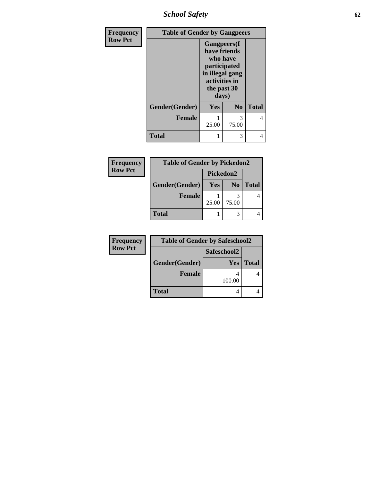*School Safety* **62**

| <b>Frequency</b> |                | <b>Table of Gender by Gangpeers</b>                                                                                         |                |              |  |
|------------------|----------------|-----------------------------------------------------------------------------------------------------------------------------|----------------|--------------|--|
| <b>Row Pct</b>   |                | <b>Gangpeers</b> (I<br>have friends<br>who have<br>participated<br>in illegal gang<br>activities in<br>the past 30<br>days) |                |              |  |
|                  | Gender(Gender) | Yes                                                                                                                         | N <sub>0</sub> | <b>Total</b> |  |
|                  | <b>Female</b>  | 25.00                                                                                                                       | 3<br>75.00     | 4            |  |
|                  | <b>Total</b>   | 1                                                                                                                           | 3              |              |  |

| Frequency      | <b>Table of Gender by Pickedon2</b> |            |                |              |
|----------------|-------------------------------------|------------|----------------|--------------|
| <b>Row Pct</b> |                                     | Pickedon2  |                |              |
|                | Gender(Gender)                      | <b>Yes</b> | N <sub>0</sub> | <b>Total</b> |
|                | <b>Female</b>                       | 25.00      | 75.00          |              |
|                | <b>Total</b>                        |            |                |              |

| Frequency      | <b>Table of Gender by Safeschool2</b> |            |              |  |  |
|----------------|---------------------------------------|------------|--------------|--|--|
| <b>Row Pct</b> | Safeschool2                           |            |              |  |  |
|                | Gender(Gender)                        | <b>Yes</b> | <b>Total</b> |  |  |
|                | <b>Female</b>                         | 100.00     |              |  |  |
|                | <b>Total</b>                          |            |              |  |  |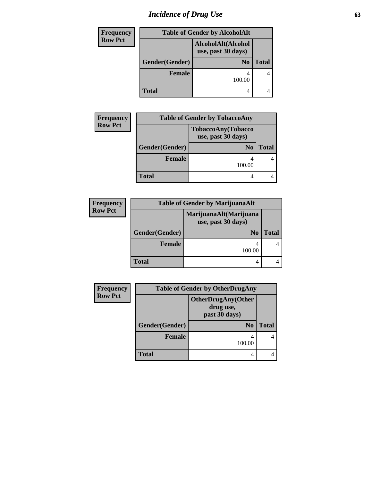# *Incidence of Drug Use* 63

| <b>Frequency</b> |                | <b>Table of Gender by AlcoholAlt</b>     |              |
|------------------|----------------|------------------------------------------|--------------|
| <b>Row Pct</b>   |                | AlcoholAlt(Alcohol<br>use, past 30 days) |              |
|                  | Gender(Gender) | N <sub>0</sub>                           | <b>Total</b> |
|                  | <b>Female</b>  | 100.00                                   |              |
|                  | <b>Total</b>   | 4                                        |              |

| Frequency      | <b>Table of Gender by TobaccoAny</b> |                                          |              |  |
|----------------|--------------------------------------|------------------------------------------|--------------|--|
| <b>Row Pct</b> |                                      | TobaccoAny(Tobacco<br>use, past 30 days) |              |  |
|                | Gender(Gender)                       | N <sub>0</sub>                           | <b>Total</b> |  |
|                | <b>Female</b>                        | 100.00                                   |              |  |
|                | <b>Total</b>                         |                                          |              |  |

| <b>Frequency</b> | <b>Table of Gender by MarijuanaAlt</b> |                                              |       |  |
|------------------|----------------------------------------|----------------------------------------------|-------|--|
| <b>Row Pct</b>   |                                        | MarijuanaAlt(Marijuana<br>use, past 30 days) |       |  |
|                  | Gender(Gender)                         | N <sub>0</sub>                               | Total |  |
|                  | <b>Female</b>                          | 100.00                                       |       |  |
|                  | <b>Total</b>                           |                                              |       |  |

| <b>Frequency</b> | <b>Table of Gender by OtherDrugAny</b> |                                                         |              |
|------------------|----------------------------------------|---------------------------------------------------------|--------------|
| <b>Row Pct</b>   |                                        | <b>OtherDrugAny(Other</b><br>drug use,<br>past 30 days) |              |
|                  | Gender(Gender)                         | N <sub>0</sub>                                          | <b>Total</b> |
|                  | <b>Female</b>                          | 4<br>100.00                                             |              |
|                  | <b>Total</b>                           | 4                                                       |              |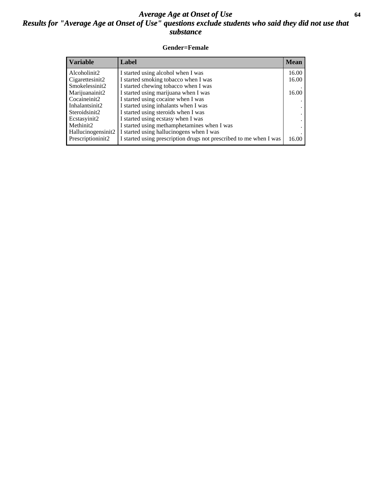## *Average Age at Onset of Use* **64** *Results for "Average Age at Onset of Use" questions exclude students who said they did not use that substance*

### **Gender=Female**

| <b>Variable</b>                 | Label                                                              | <b>Mean</b> |
|---------------------------------|--------------------------------------------------------------------|-------------|
| Alcoholinit2                    | I started using alcohol when I was                                 | 16.00       |
| Cigarettesinit2                 | I started smoking tobacco when I was                               | 16.00       |
| Smokelessinit2                  | I started chewing tobacco when I was                               |             |
| Marijuanainit2                  | I started using marijuana when I was                               | 16.00       |
| Cocaineinit2                    | I started using cocaine when I was                                 |             |
| Inhalantsinit2                  | I started using inhalants when I was                               |             |
| Steroidsinit2                   | I started using steroids when I was                                |             |
| Ecstasyinit2                    | I started using ecstasy when I was                                 |             |
| Methinit2                       | I started using methamphetamines when I was                        |             |
| Hallucinogensinit2              | I started using hallucinogens when I was                           |             |
| Prescription in it <sub>2</sub> | I started using prescription drugs not prescribed to me when I was | 16.00       |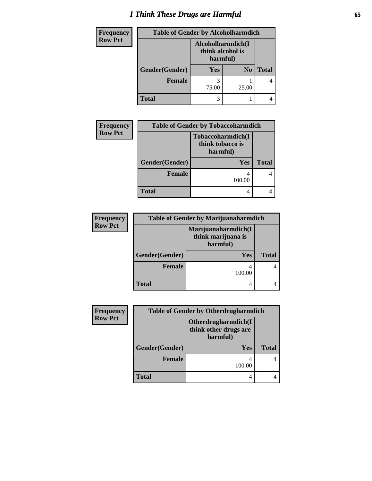## *I Think These Drugs are Harmful* **65**

| <b>Frequency</b> | <b>Table of Gender by Alcoholharmdich</b> |                                                   |                |              |
|------------------|-------------------------------------------|---------------------------------------------------|----------------|--------------|
| <b>Row Pct</b>   |                                           | Alcoholharmdich(I<br>think alcohol is<br>harmful) |                |              |
|                  | Gender(Gender)                            | Yes                                               | N <sub>0</sub> | <b>Total</b> |
|                  | <b>Female</b>                             | 75.00                                             | 25.00          |              |
|                  | <b>Total</b>                              | 3                                                 |                |              |

| <b>Frequency</b> | <b>Table of Gender by Tobaccoharmdich</b> |                                                           |              |
|------------------|-------------------------------------------|-----------------------------------------------------------|--------------|
| <b>Row Pct</b>   |                                           | <b>Tobaccoharmdich(I)</b><br>think tobacco is<br>harmful) |              |
|                  | Gender(Gender)<br><b>Yes</b>              |                                                           | <b>Total</b> |
|                  | <b>Female</b>                             | 100.00                                                    |              |
|                  | <b>Total</b>                              |                                                           |              |

| <b>Frequency</b> | <b>Table of Gender by Marijuanaharmdich</b> |                                                       |              |
|------------------|---------------------------------------------|-------------------------------------------------------|--------------|
| <b>Row Pct</b>   |                                             | Marijuanaharmdich(I<br>think marijuana is<br>harmful) |              |
|                  | Gender(Gender)                              | <b>Yes</b>                                            | <b>Total</b> |
|                  | <b>Female</b>                               | 100.00                                                |              |
|                  | <b>Total</b>                                |                                                       |              |

| <b>Frequency</b> | <b>Table of Gender by Otherdrugharmdich</b> |                                                          |              |  |
|------------------|---------------------------------------------|----------------------------------------------------------|--------------|--|
| <b>Row Pct</b>   |                                             | Otherdrugharmdich(I<br>think other drugs are<br>harmful) |              |  |
|                  | Gender(Gender)                              | Yes                                                      | <b>Total</b> |  |
|                  | Female                                      | 100.00                                                   |              |  |
|                  | <b>Total</b>                                | 4                                                        |              |  |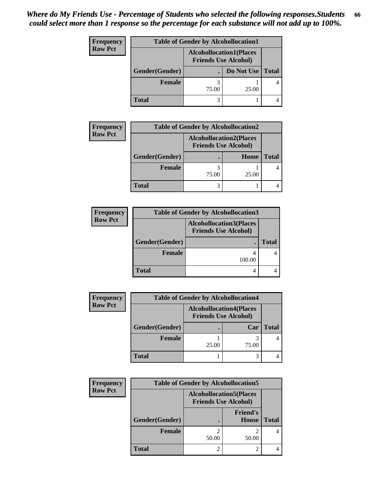| <b>Frequency</b> | <b>Table of Gender by Alcohollocation1</b> |                                                               |                    |  |
|------------------|--------------------------------------------|---------------------------------------------------------------|--------------------|--|
| <b>Row Pct</b>   |                                            | <b>Alcohollocation1(Places</b><br><b>Friends Use Alcohol)</b> |                    |  |
|                  | Gender(Gender)                             |                                                               | Do Not Use   Total |  |
|                  | <b>Female</b>                              | 75.00                                                         | 25.00              |  |
|                  | <b>Total</b>                               |                                                               |                    |  |

| <b>Frequency</b> | <b>Table of Gender by Alcohollocation2</b> |                                                               |       |              |
|------------------|--------------------------------------------|---------------------------------------------------------------|-------|--------------|
| <b>Row Pct</b>   |                                            | <b>Alcohollocation2(Places</b><br><b>Friends Use Alcohol)</b> |       |              |
|                  | Gender(Gender)                             |                                                               | Home  | <b>Total</b> |
|                  | Female                                     | 75.00                                                         | 25.00 |              |
|                  | <b>Total</b>                               |                                                               |       |              |

| <b>Frequency</b> | <b>Table of Gender by Alcohollocation3</b> |                                                               |              |
|------------------|--------------------------------------------|---------------------------------------------------------------|--------------|
| <b>Row Pct</b>   |                                            | <b>Alcohollocation3(Places</b><br><b>Friends Use Alcohol)</b> |              |
|                  | Gender(Gender)                             |                                                               | <b>Total</b> |
|                  | <b>Female</b>                              | 100.00                                                        |              |
|                  | <b>Total</b>                               |                                                               |              |

| <b>Frequency</b> | <b>Table of Gender by Alcohollocation4</b> |                             |                                |       |
|------------------|--------------------------------------------|-----------------------------|--------------------------------|-------|
| <b>Row Pct</b>   |                                            | <b>Friends Use Alcohol)</b> | <b>Alcohollocation4(Places</b> |       |
|                  | Gender(Gender)                             |                             | Car                            | Total |
|                  | <b>Female</b>                              | 25.00                       | 75.00                          |       |
|                  | <b>Total</b>                               |                             |                                |       |

| Frequency      | <b>Table of Gender by Alcohollocation5</b> |                                                               |                                 |              |
|----------------|--------------------------------------------|---------------------------------------------------------------|---------------------------------|--------------|
| <b>Row Pct</b> |                                            | <b>Alcohollocation5(Places</b><br><b>Friends Use Alcohol)</b> |                                 |              |
|                | Gender(Gender)                             |                                                               | <b>Friend's</b><br><b>House</b> | <b>Total</b> |
|                | <b>Female</b>                              | 50.00                                                         | 50.00                           |              |
|                | <b>Total</b>                               |                                                               |                                 |              |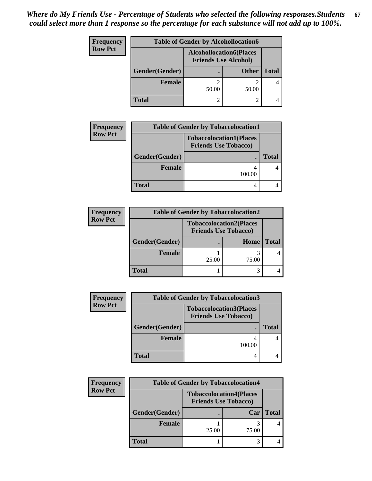| <b>Frequency</b> | <b>Table of Gender by Alcohollocation6</b> |                                                               |              |              |
|------------------|--------------------------------------------|---------------------------------------------------------------|--------------|--------------|
| <b>Row Pct</b>   |                                            | <b>Alcohollocation6(Places</b><br><b>Friends Use Alcohol)</b> |              |              |
|                  | Gender(Gender)                             |                                                               | <b>Other</b> | <b>Total</b> |
|                  | Female                                     | 50.00                                                         | 50.00        |              |
|                  | <b>Total</b>                               |                                                               |              |              |

| <b>Frequency</b> | <b>Table of Gender by Tobaccolocation1</b> |                                                               |              |  |
|------------------|--------------------------------------------|---------------------------------------------------------------|--------------|--|
| <b>Row Pct</b>   |                                            | <b>Tobaccolocation1(Places</b><br><b>Friends Use Tobacco)</b> |              |  |
| Gender(Gender)   |                                            |                                                               | <b>Total</b> |  |
|                  | <b>Female</b>                              | 100.00                                                        |              |  |
|                  | Total                                      |                                                               |              |  |

| <b>Frequency</b> | <b>Table of Gender by Tobaccolocation2</b> |                                                               |       |              |
|------------------|--------------------------------------------|---------------------------------------------------------------|-------|--------------|
| <b>Row Pct</b>   |                                            | <b>Tobaccolocation2(Places</b><br><b>Friends Use Tobacco)</b> |       |              |
|                  | Gender(Gender)                             |                                                               | Home  | <b>Total</b> |
|                  | Female                                     | 25.00                                                         | 75.00 |              |
|                  | <b>Total</b>                               |                                                               |       |              |

| <b>Frequency</b> | <b>Table of Gender by Tobaccolocation3</b> |                                                               |              |
|------------------|--------------------------------------------|---------------------------------------------------------------|--------------|
| <b>Row Pct</b>   |                                            | <b>Tobaccolocation3(Places</b><br><b>Friends Use Tobacco)</b> |              |
|                  | Gender(Gender)                             |                                                               | <b>Total</b> |
|                  | <b>Female</b>                              | 100.00                                                        |              |
|                  | <b>Total</b>                               |                                                               |              |

| Frequency      | <b>Table of Gender by Tobaccolocation4</b> |                                                               |       |       |
|----------------|--------------------------------------------|---------------------------------------------------------------|-------|-------|
| <b>Row Pct</b> |                                            | <b>Tobaccolocation4(Places</b><br><b>Friends Use Tobacco)</b> |       |       |
|                | Gender(Gender)                             |                                                               | Car   | Total |
|                | Female                                     | 25.00                                                         | 75.00 |       |
|                | <b>Total</b>                               |                                                               |       |       |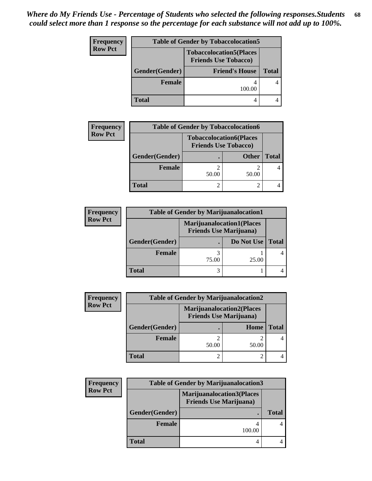| Frequency      | <b>Table of Gender by Tobaccolocation5</b><br><b>Tobaccolocation5(Places</b><br><b>Friends Use Tobacco)</b> |        |              |  |  |
|----------------|-------------------------------------------------------------------------------------------------------------|--------|--------------|--|--|
| <b>Row Pct</b> |                                                                                                             |        |              |  |  |
|                | Gender(Gender)<br><b>Friend's House</b>                                                                     |        | <b>Total</b> |  |  |
|                | <b>Female</b>                                                                                               | 100.00 |              |  |  |
|                | <b>Total</b>                                                                                                |        |              |  |  |

| <b>Frequency</b> |                | <b>Table of Gender by Tobaccolocation6</b>                    |              |              |
|------------------|----------------|---------------------------------------------------------------|--------------|--------------|
| <b>Row Pct</b>   |                | <b>Tobaccolocation6(Places</b><br><b>Friends Use Tobacco)</b> |              |              |
|                  | Gender(Gender) |                                                               | <b>Other</b> | <b>Total</b> |
|                  | <b>Female</b>  | 50.00                                                         | 50.00        |              |
|                  | <b>Total</b>   |                                                               |              |              |

| <b>Frequency</b> | <b>Table of Gender by Marijuanalocation1</b> |                                                                    |            |              |  |
|------------------|----------------------------------------------|--------------------------------------------------------------------|------------|--------------|--|
| <b>Row Pct</b>   |                                              | <b>Marijuanalocation1(Places</b><br><b>Friends Use Marijuana</b> ) |            |              |  |
|                  | Gender(Gender)                               |                                                                    | Do Not Use | <b>Total</b> |  |
|                  | <b>Female</b>                                | 75.00                                                              | 25.00      |              |  |
|                  | <b>Total</b>                                 |                                                                    |            |              |  |

| <b>Frequency</b> | <b>Table of Gender by Marijuanalocation2</b> |                                                                    |       |       |
|------------------|----------------------------------------------|--------------------------------------------------------------------|-------|-------|
| <b>Row Pct</b>   |                                              | <b>Marijuanalocation2(Places</b><br><b>Friends Use Marijuana</b> ) |       |       |
|                  | Gender(Gender)                               |                                                                    | Home  | Total |
|                  | Female                                       | 50.00                                                              | 50.00 |       |
|                  | <b>Total</b>                                 |                                                                    |       |       |

| <b>Frequency</b> | <b>Table of Gender by Marijuanalocation3</b> |                                                                    |              |
|------------------|----------------------------------------------|--------------------------------------------------------------------|--------------|
| <b>Row Pct</b>   |                                              | <b>Marijuanalocation3(Places</b><br><b>Friends Use Marijuana</b> ) |              |
|                  | Gender(Gender)                               | ٠                                                                  | <b>Total</b> |
|                  | <b>Female</b>                                | 100.00                                                             |              |
|                  | <b>Total</b>                                 |                                                                    |              |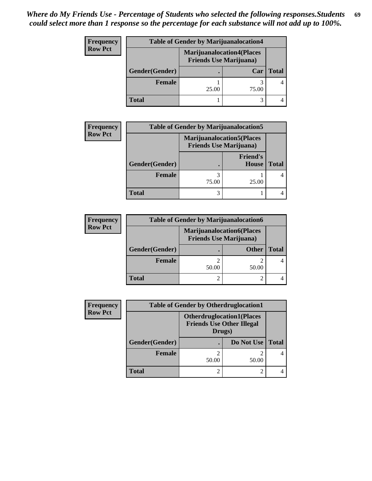| <b>Frequency</b> | <b>Table of Gender by Marijuanalocation4</b> |       |                                                                    |              |
|------------------|----------------------------------------------|-------|--------------------------------------------------------------------|--------------|
| <b>Row Pct</b>   |                                              |       | <b>Marijuanalocation4(Places</b><br><b>Friends Use Marijuana</b> ) |              |
|                  | Gender(Gender)                               |       | Car                                                                | <b>Total</b> |
|                  | <b>Female</b>                                | 25.00 | 75.00                                                              |              |
|                  | <b>Total</b>                                 |       |                                                                    |              |

| <b>Frequency</b> |                | <b>Table of Gender by Marijuanalocation5</b> |                                                                    |              |  |
|------------------|----------------|----------------------------------------------|--------------------------------------------------------------------|--------------|--|
| <b>Row Pct</b>   |                |                                              | <b>Marijuanalocation5(Places</b><br><b>Friends Use Marijuana</b> ) |              |  |
|                  | Gender(Gender) |                                              | <b>Friend's</b><br>House                                           | <b>Total</b> |  |
|                  | Female         | 75.00                                        | 25.00                                                              |              |  |
|                  | <b>Total</b>   |                                              |                                                                    |              |  |

| <b>Frequency</b> | <b>Table of Gender by Marijuanalocation6</b> |                                                                    |              |       |
|------------------|----------------------------------------------|--------------------------------------------------------------------|--------------|-------|
| <b>Row Pct</b>   |                                              | <b>Marijuanalocation6(Places</b><br><b>Friends Use Marijuana</b> ) |              |       |
|                  | Gender(Gender)                               |                                                                    | <b>Other</b> | Total |
|                  | <b>Female</b>                                | 50.00                                                              | 50.00        |       |
|                  | <b>Total</b>                                 |                                                                    |              |       |

| <b>Frequency</b> | <b>Table of Gender by Otherdruglocation1</b> |                                                                                |            |              |  |
|------------------|----------------------------------------------|--------------------------------------------------------------------------------|------------|--------------|--|
| <b>Row Pct</b>   |                                              | <b>Otherdruglocation1(Places</b><br><b>Friends Use Other Illegal</b><br>Drugs) |            |              |  |
|                  | Gender(Gender)                               |                                                                                | Do Not Use | <b>Total</b> |  |
|                  | <b>Female</b>                                | 50.00                                                                          | 50.00      |              |  |
|                  | <b>Total</b>                                 |                                                                                |            |              |  |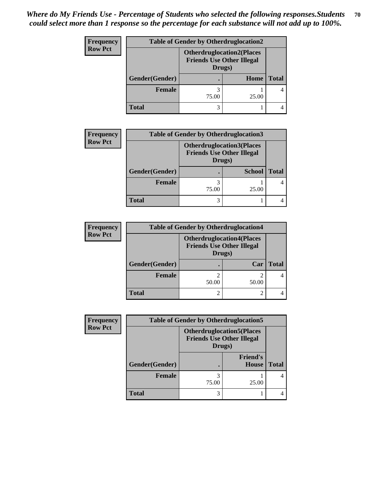| <b>Frequency</b> | <b>Table of Gender by Otherdruglocation2</b> |                                                                                |       |              |
|------------------|----------------------------------------------|--------------------------------------------------------------------------------|-------|--------------|
| <b>Row Pct</b>   |                                              | <b>Otherdruglocation2(Places</b><br><b>Friends Use Other Illegal</b><br>Drugs) |       |              |
|                  | Gender(Gender)                               |                                                                                | Home  | <b>Total</b> |
|                  | <b>Female</b>                                | 75.00                                                                          | 25.00 |              |
|                  | <b>Total</b>                                 |                                                                                |       |              |

| <b>Frequency</b> | <b>Table of Gender by Otherdruglocation3</b> |                                                                                |               |       |
|------------------|----------------------------------------------|--------------------------------------------------------------------------------|---------------|-------|
| <b>Row Pct</b>   |                                              | <b>Otherdruglocation3(Places</b><br><b>Friends Use Other Illegal</b><br>Drugs) |               |       |
|                  | Gender(Gender)                               |                                                                                | <b>School</b> | Total |
|                  | Female                                       | 75.00                                                                          | 25.00         |       |
|                  | <b>Total</b>                                 | 3                                                                              |               |       |

| <b>Frequency</b> | <b>Table of Gender by Otherdruglocation4</b> |                                                                                |       |              |
|------------------|----------------------------------------------|--------------------------------------------------------------------------------|-------|--------------|
| <b>Row Pct</b>   |                                              | <b>Otherdruglocation4(Places</b><br><b>Friends Use Other Illegal</b><br>Drugs) |       |              |
|                  | Gender(Gender)                               |                                                                                | Car   | <b>Total</b> |
|                  | <b>Female</b>                                | 50.00                                                                          | 50.00 |              |
|                  | <b>Total</b>                                 |                                                                                |       |              |

| <b>Frequency</b> | <b>Table of Gender by Otherdruglocation5</b> |                                            |                                  |              |
|------------------|----------------------------------------------|--------------------------------------------|----------------------------------|--------------|
| <b>Row Pct</b>   |                                              | <b>Friends Use Other Illegal</b><br>Drugs) | <b>Otherdruglocation5(Places</b> |              |
|                  | Gender(Gender)                               |                                            | <b>Friend's</b><br>House         | <b>Total</b> |
|                  | Female                                       | 75.00                                      | 25.00                            |              |
|                  | <b>Total</b>                                 |                                            |                                  |              |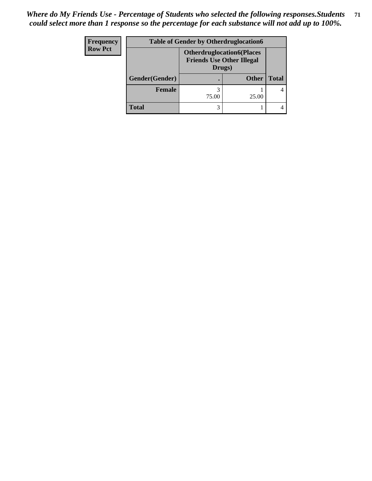| <b>Frequency</b> | <b>Table of Gender by Otherdruglocation6</b> |                                                                                |              |              |
|------------------|----------------------------------------------|--------------------------------------------------------------------------------|--------------|--------------|
| <b>Row Pct</b>   |                                              | <b>Otherdruglocation6(Places</b><br><b>Friends Use Other Illegal</b><br>Drugs) |              |              |
|                  | Gender(Gender)                               |                                                                                | <b>Other</b> | <b>Total</b> |
|                  | Female                                       | 75.00                                                                          | 25.00        |              |
|                  | <b>Total</b>                                 |                                                                                |              |              |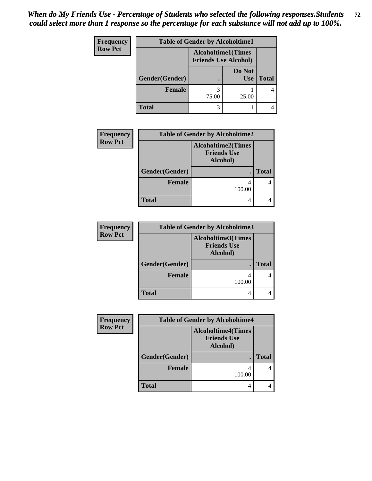| <b>Frequency</b> | <b>Table of Gender by Alcoholtime1</b> |                                                          |                      |              |  |
|------------------|----------------------------------------|----------------------------------------------------------|----------------------|--------------|--|
| <b>Row Pct</b>   |                                        | <b>Alcoholtime1(Times</b><br><b>Friends Use Alcohol)</b> |                      |              |  |
|                  | Gender(Gender)                         | $\bullet$                                                | Do Not<br><b>Use</b> | <b>Total</b> |  |
|                  | <b>Female</b>                          | 75.00                                                    | 25.00                |              |  |
|                  | <b>Total</b>                           | 3                                                        |                      |              |  |

| <b>Frequency</b> | <b>Table of Gender by Alcoholtime2</b> |                                                             |              |  |
|------------------|----------------------------------------|-------------------------------------------------------------|--------------|--|
| <b>Row Pct</b>   |                                        | <b>Alcoholtime2(Times</b><br><b>Friends Use</b><br>Alcohol) |              |  |
|                  | Gender(Gender)                         |                                                             | <b>Total</b> |  |
|                  | <b>Female</b>                          | 100.00                                                      |              |  |
|                  | <b>Total</b>                           | 4                                                           |              |  |

| <b>Frequency</b> | <b>Table of Gender by Alcoholtime3</b> |                                                             |              |
|------------------|----------------------------------------|-------------------------------------------------------------|--------------|
| <b>Row Pct</b>   |                                        | <b>Alcoholtime3(Times</b><br><b>Friends Use</b><br>Alcohol) |              |
|                  | Gender(Gender)                         |                                                             | <b>Total</b> |
|                  | <b>Female</b>                          | 100.00                                                      |              |
|                  | <b>Total</b>                           |                                                             |              |

| <b>Frequency</b> | <b>Table of Gender by Alcoholtime4</b> |                                                             |              |  |
|------------------|----------------------------------------|-------------------------------------------------------------|--------------|--|
| <b>Row Pct</b>   |                                        | <b>Alcoholtime4(Times</b><br><b>Friends Use</b><br>Alcohol) |              |  |
|                  | Gender(Gender)                         |                                                             | <b>Total</b> |  |
|                  | <b>Female</b>                          | 4<br>100.00                                                 |              |  |
|                  | <b>Total</b>                           |                                                             |              |  |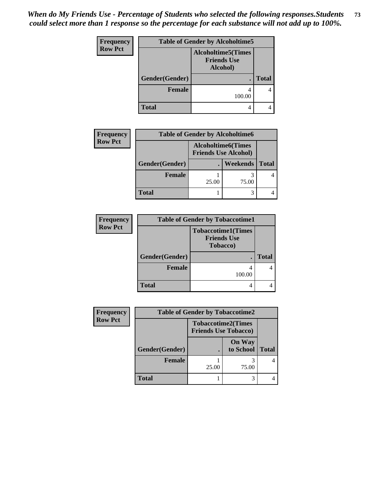*When do My Friends Use - Percentage of Students who selected the following responses.Students could select more than 1 response so the percentage for each substance will not add up to 100%.* **73**

| <b>Frequency</b> | <b>Table of Gender by Alcoholtime5</b> |                                                             |              |
|------------------|----------------------------------------|-------------------------------------------------------------|--------------|
| <b>Row Pct</b>   |                                        | <b>Alcoholtime5(Times</b><br><b>Friends Use</b><br>Alcohol) |              |
|                  | Gender(Gender)                         |                                                             | <b>Total</b> |
|                  | <b>Female</b>                          | 100.00                                                      |              |
|                  | <b>Total</b>                           | 4                                                           |              |

| <b>Frequency</b> | <b>Table of Gender by Alcoholtime6</b> |       |                                                          |              |
|------------------|----------------------------------------|-------|----------------------------------------------------------|--------------|
| <b>Row Pct</b>   |                                        |       | <b>Alcoholtime6(Times</b><br><b>Friends Use Alcohol)</b> |              |
|                  | Gender(Gender)                         |       | Weekends                                                 | <b>Total</b> |
|                  | <b>Female</b>                          | 25.00 | 75.00                                                    |              |
|                  | <b>Total</b>                           |       |                                                          |              |

| <b>Frequency</b> | <b>Table of Gender by Tobaccotime1</b> |                                                                     |              |  |
|------------------|----------------------------------------|---------------------------------------------------------------------|--------------|--|
| <b>Row Pct</b>   |                                        | <b>Tobaccotime1(Times</b><br><b>Friends Use</b><br><b>Tobacco</b> ) |              |  |
|                  | Gender(Gender)                         |                                                                     | <b>Total</b> |  |
|                  | <b>Female</b>                          | 100.00                                                              |              |  |
|                  | <b>Total</b>                           |                                                                     |              |  |

| <b>Frequency</b> | <b>Table of Gender by Tobaccotime2</b> |                             |                            |              |
|------------------|----------------------------------------|-----------------------------|----------------------------|--------------|
| <b>Row Pct</b>   |                                        | <b>Friends Use Tobacco)</b> | <b>Tobaccotime2(Times</b>  |              |
|                  | Gender(Gender)                         | $\bullet$                   | <b>On Way</b><br>to School | <b>Total</b> |
|                  | Female                                 | 25.00                       | 75.00                      |              |
|                  | <b>Total</b>                           |                             |                            |              |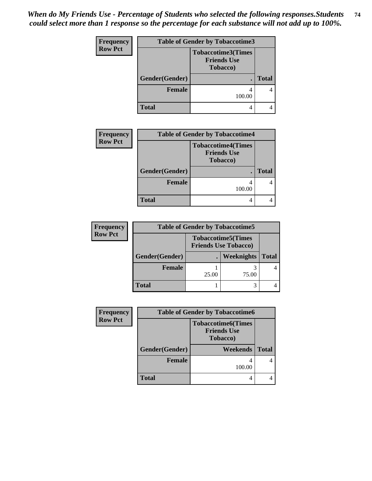*When do My Friends Use - Percentage of Students who selected the following responses.Students could select more than 1 response so the percentage for each substance will not add up to 100%.* **74**

| <b>Frequency</b> | <b>Table of Gender by Tobaccotime3</b> |                                                                     |              |  |
|------------------|----------------------------------------|---------------------------------------------------------------------|--------------|--|
| <b>Row Pct</b>   |                                        | <b>Tobaccotime3(Times</b><br><b>Friends Use</b><br><b>Tobacco</b> ) |              |  |
|                  | Gender(Gender)                         |                                                                     | <b>Total</b> |  |
|                  | <b>Female</b>                          | 100.00                                                              |              |  |
|                  | <b>Total</b>                           |                                                                     |              |  |

| <b>Frequency</b> |                | <b>Table of Gender by Tobaccotime4</b>                              |              |
|------------------|----------------|---------------------------------------------------------------------|--------------|
| <b>Row Pct</b>   |                | <b>Tobaccotime4(Times</b><br><b>Friends Use</b><br><b>Tobacco</b> ) |              |
|                  | Gender(Gender) |                                                                     | <b>Total</b> |
|                  | <b>Female</b>  | 100.00                                                              |              |
|                  | <b>Total</b>   |                                                                     |              |

| <b>Frequency</b> |                |       | <b>Table of Gender by Tobaccotime5</b>                   |              |
|------------------|----------------|-------|----------------------------------------------------------|--------------|
| <b>Row Pct</b>   |                |       | <b>Tobaccotime5(Times</b><br><b>Friends Use Tobacco)</b> |              |
|                  | Gender(Gender) |       | Weeknights                                               | <b>Total</b> |
|                  | Female         | 25.00 | 75.00                                                    |              |
|                  | <b>Total</b>   |       |                                                          |              |

| <b>Frequency</b> | <b>Table of Gender by Tobaccotime6</b> |                                                                     |              |
|------------------|----------------------------------------|---------------------------------------------------------------------|--------------|
| <b>Row Pct</b>   |                                        | <b>Tobaccotime6(Times</b><br><b>Friends Use</b><br><b>Tobacco</b> ) |              |
|                  | Gender(Gender)                         | <b>Weekends</b>                                                     | <b>Total</b> |
|                  | <b>Female</b>                          | 100.00                                                              |              |
|                  | <b>Total</b>                           |                                                                     |              |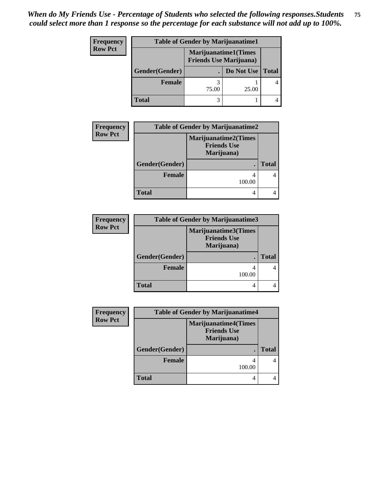## *When do My Friends Use - Percentage of Students who selected the following responses.Students could select more than 1 response so the percentage for each substance will not add up to 100%.* **75**

| Frequency      | <b>Table of Gender by Marijuanatime1</b> |                                                               |            |              |
|----------------|------------------------------------------|---------------------------------------------------------------|------------|--------------|
| <b>Row Pct</b> |                                          | <b>Marijuanatime1(Times</b><br><b>Friends Use Marijuana</b> ) |            |              |
|                | Gender(Gender)                           |                                                               | Do Not Use | <b>Total</b> |
|                | <b>Female</b>                            | 75.00                                                         | 25.00      |              |
|                | <b>Total</b>                             |                                                               |            |              |

| Frequency      | <b>Table of Gender by Marijuanatime2</b> |                                                                 |       |  |
|----------------|------------------------------------------|-----------------------------------------------------------------|-------|--|
| <b>Row Pct</b> |                                          | <b>Marijuanatime2(Times</b><br><b>Friends Use</b><br>Marijuana) |       |  |
|                | Gender(Gender)                           |                                                                 | Total |  |
|                | <b>Female</b>                            | 100.00                                                          |       |  |
|                | <b>Total</b>                             |                                                                 |       |  |

| <b>Frequency</b> | <b>Table of Gender by Marijuanatime3</b> |                                                          |              |
|------------------|------------------------------------------|----------------------------------------------------------|--------------|
| <b>Row Pct</b>   |                                          | Marijuanatime3(Times<br><b>Friends Use</b><br>Marijuana) |              |
|                  | Gender(Gender)                           |                                                          | <b>Total</b> |
|                  | <b>Female</b>                            | 100.00                                                   |              |
|                  | <b>Total</b>                             |                                                          |              |

| <b>Frequency</b> | <b>Table of Gender by Marijuanatime4</b> |                                                                 |              |  |
|------------------|------------------------------------------|-----------------------------------------------------------------|--------------|--|
| <b>Row Pct</b>   |                                          | <b>Marijuanatime4(Times</b><br><b>Friends Use</b><br>Marijuana) |              |  |
|                  | Gender(Gender)                           |                                                                 | <b>Total</b> |  |
|                  | Female                                   | 4<br>100.00                                                     |              |  |
|                  | <b>Total</b>                             | 4                                                               |              |  |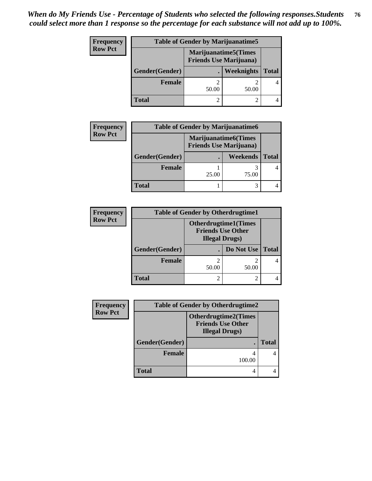## *When do My Friends Use - Percentage of Students who selected the following responses.Students could select more than 1 response so the percentage for each substance will not add up to 100%.* **76**

| <b>Frequency</b> |                | <b>Table of Gender by Marijuanatime5</b> |                                                                |              |
|------------------|----------------|------------------------------------------|----------------------------------------------------------------|--------------|
| <b>Row Pct</b>   |                |                                          | <b>Marijuanatime5</b> (Times<br><b>Friends Use Marijuana</b> ) |              |
|                  | Gender(Gender) |                                          | Weeknights                                                     | <b>Total</b> |
|                  | Female         | 50.00                                    | 50.00                                                          |              |
|                  | <b>Total</b>   |                                          |                                                                |              |

| <b>Frequency</b> | <b>Table of Gender by Marijuanatime6</b> |                                                               |          |              |
|------------------|------------------------------------------|---------------------------------------------------------------|----------|--------------|
| <b>Row Pct</b>   |                                          | <b>Marijuanatime6(Times</b><br><b>Friends Use Marijuana</b> ) |          |              |
|                  | Gender(Gender)                           |                                                               | Weekends | <b>Total</b> |
|                  | Female                                   | 25.00                                                         | 75.00    |              |
|                  | <b>Total</b>                             |                                                               |          |              |

| <b>Frequency</b> | <b>Table of Gender by Otherdrugtime1</b> |                                                                                   |            |              |  |
|------------------|------------------------------------------|-----------------------------------------------------------------------------------|------------|--------------|--|
| <b>Row Pct</b>   |                                          | <b>Otherdrugtime1(Times</b><br><b>Friends Use Other</b><br><b>Illegal Drugs</b> ) |            |              |  |
|                  | Gender(Gender)                           |                                                                                   | Do Not Use | <b>Total</b> |  |
|                  | <b>Female</b>                            | 2<br>50.00                                                                        | 50.00      |              |  |
|                  | <b>Total</b>                             | $\mathfrak{D}$                                                                    |            |              |  |

| Frequency      | <b>Table of Gender by Otherdrugtime2</b> |                                                                                   |              |
|----------------|------------------------------------------|-----------------------------------------------------------------------------------|--------------|
| <b>Row Pct</b> |                                          | <b>Otherdrugtime2(Times</b><br><b>Friends Use Other</b><br><b>Illegal Drugs</b> ) |              |
|                | Gender(Gender)                           |                                                                                   | <b>Total</b> |
|                | Female                                   | 100.00                                                                            |              |
|                | <b>Total</b>                             |                                                                                   |              |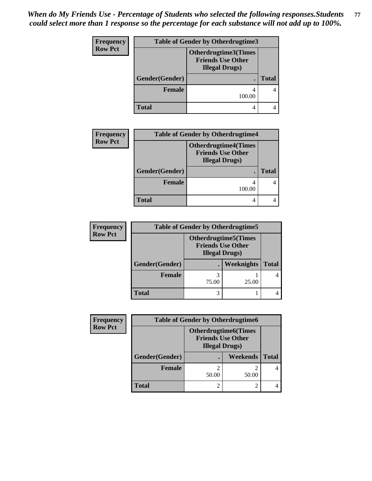## *When do My Friends Use - Percentage of Students who selected the following responses.Students could select more than 1 response so the percentage for each substance will not add up to 100%.* **77**

| Frequency      |                | <b>Table of Gender by Otherdrugtime3</b>                                  |              |  |
|----------------|----------------|---------------------------------------------------------------------------|--------------|--|
| <b>Row Pct</b> |                | Otherdrugtime3(Times<br><b>Friends Use Other</b><br><b>Illegal Drugs)</b> |              |  |
|                | Gender(Gender) |                                                                           | <b>Total</b> |  |
|                | <b>Female</b>  | 100.00                                                                    |              |  |
|                | <b>Total</b>   | 4                                                                         |              |  |

| <b>Frequency</b> | <b>Table of Gender by Otherdrugtime4</b> |                                                                                   |              |
|------------------|------------------------------------------|-----------------------------------------------------------------------------------|--------------|
| <b>Row Pct</b>   |                                          | <b>Otherdrugtime4(Times</b><br><b>Friends Use Other</b><br><b>Illegal Drugs</b> ) |              |
|                  | Gender(Gender)                           |                                                                                   | <b>Total</b> |
|                  | Female                                   | 100.00                                                                            |              |
|                  | <b>Total</b>                             |                                                                                   |              |

| <b>Frequency</b> | <b>Table of Gender by Otherdrugtime5</b> |                                                                                    |                   |              |
|------------------|------------------------------------------|------------------------------------------------------------------------------------|-------------------|--------------|
| <b>Row Pct</b>   |                                          | <b>Otherdrugtime5</b> (Times<br><b>Friends Use Other</b><br><b>Illegal Drugs</b> ) |                   |              |
|                  | Gender(Gender)                           |                                                                                    | <b>Weeknights</b> | <b>Total</b> |
|                  | <b>Female</b>                            | 75.00                                                                              | 25.00             |              |
|                  | <b>Total</b>                             | 3                                                                                  |                   |              |

| Frequency      |                | <b>Table of Gender by Otherdrugtime6</b>                                          |                 |              |  |
|----------------|----------------|-----------------------------------------------------------------------------------|-----------------|--------------|--|
| <b>Row Pct</b> |                | <b>Otherdrugtime6(Times</b><br><b>Friends Use Other</b><br><b>Illegal Drugs</b> ) |                 |              |  |
|                | Gender(Gender) |                                                                                   | <b>Weekends</b> | <b>Total</b> |  |
|                | Female         | 50.00                                                                             | 50.00           |              |  |
|                | <b>Total</b>   |                                                                                   |                 |              |  |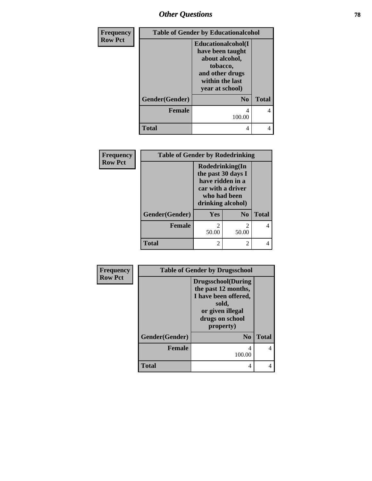## *Other Questions* **78**

| Frequency      |                | <b>Table of Gender by Educationalcohol</b>                                                                                    |              |
|----------------|----------------|-------------------------------------------------------------------------------------------------------------------------------|--------------|
| <b>Row Pct</b> |                | Educationalcohol(I<br>have been taught<br>about alcohol,<br>tobacco,<br>and other drugs<br>within the last<br>year at school) |              |
|                | Gender(Gender) | N <sub>0</sub>                                                                                                                | <b>Total</b> |
|                | <b>Female</b>  | 4<br>100.00                                                                                                                   | 4            |
|                | Total          | 4                                                                                                                             | 4            |

| Frequency      | <b>Table of Gender by Rodedrinking</b> |                                                                                                                     |                         |              |
|----------------|----------------------------------------|---------------------------------------------------------------------------------------------------------------------|-------------------------|--------------|
| <b>Row Pct</b> |                                        | Rodedrinking(In<br>the past 30 days I<br>have ridden in a<br>car with a driver<br>who had been<br>drinking alcohol) |                         |              |
|                | Gender(Gender)                         | Yes                                                                                                                 | N <sub>0</sub>          | <b>Total</b> |
|                | <b>Female</b>                          | 50.00                                                                                                               | $\mathfrak{D}$<br>50.00 |              |
|                | <b>Total</b>                           |                                                                                                                     | 2                       |              |

| Frequency      |                | <b>Table of Gender by Drugsschool</b>                                                                                                  |              |
|----------------|----------------|----------------------------------------------------------------------------------------------------------------------------------------|--------------|
| <b>Row Pct</b> |                | <b>Drugsschool</b> (During<br>the past 12 months,<br>I have been offered,<br>sold,<br>or given illegal<br>drugs on school<br>property) |              |
|                | Gender(Gender) | N <sub>0</sub>                                                                                                                         | <b>Total</b> |
|                | <b>Female</b>  | 4<br>100.00                                                                                                                            | 4            |
|                | <b>Total</b>   | 4                                                                                                                                      | 4            |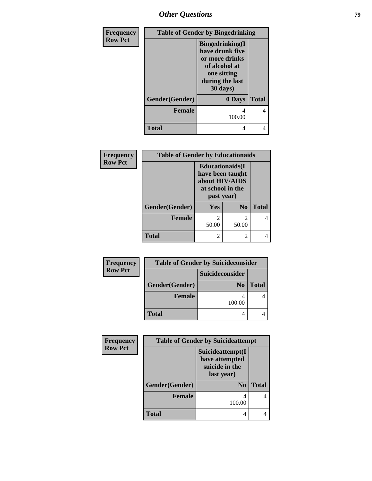*Other Questions* **79**

| Frequency      |                | <b>Table of Gender by Bingedrinking</b>                                                                                     |              |  |
|----------------|----------------|-----------------------------------------------------------------------------------------------------------------------------|--------------|--|
| <b>Row Pct</b> |                | <b>Bingedrinking</b> (I<br>have drunk five<br>or more drinks<br>of alcohol at<br>one sitting<br>during the last<br>30 days) |              |  |
|                | Gender(Gender) | 0 Days                                                                                                                      | <b>Total</b> |  |
|                | <b>Female</b>  | 4<br>100.00                                                                                                                 | 4            |  |
|                | <b>Total</b>   | 4                                                                                                                           | 4            |  |

| Frequency      | <b>Table of Gender by Educationaids</b> |                                                                                                 |                |              |
|----------------|-----------------------------------------|-------------------------------------------------------------------------------------------------|----------------|--------------|
| <b>Row Pct</b> |                                         | <b>Educationaids</b> (I<br>have been taught<br>about HIV/AIDS<br>at school in the<br>past year) |                |              |
|                | Gender(Gender)                          | Yes                                                                                             | N <sub>0</sub> | <b>Total</b> |
|                | <b>Female</b>                           | 50.00                                                                                           | 2<br>50.00     |              |
|                | <b>Total</b>                            | $\mathcal{D}_{\mathcal{A}}$                                                                     | 2              |              |

| Frequency      | <b>Table of Gender by Suicideconsider</b> |                 |              |
|----------------|-------------------------------------------|-----------------|--------------|
| <b>Row Pct</b> |                                           | Suicideconsider |              |
|                | Gender(Gender)                            | N <sub>0</sub>  | <b>Total</b> |
|                | <b>Female</b>                             | 100.00          |              |
|                | <b>Total</b>                              |                 |              |

| Frequency      | <b>Table of Gender by Suicideattempt</b> |                                                                    |              |
|----------------|------------------------------------------|--------------------------------------------------------------------|--------------|
| <b>Row Pct</b> |                                          | Suicideattempt(I<br>have attempted<br>suicide in the<br>last year) |              |
|                | Gender(Gender)                           | $\bf N_0$                                                          | <b>Total</b> |
|                | <b>Female</b>                            | 100.00                                                             |              |
|                | Total                                    |                                                                    |              |